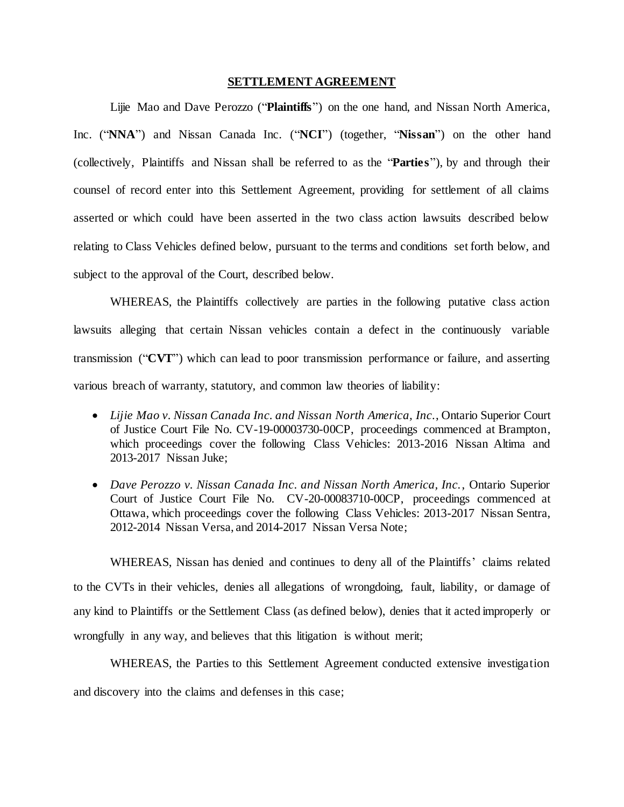#### **SETTLEMENT AGREEMENT**

Lijie Mao and Dave Perozzo ("**Plaintiffs**") on the one hand, and Nissan North America, Inc. ("**NNA**") and Nissan Canada Inc. ("**NCI**") (together, "**Nissan**") on the other hand (collectively, Plaintiffs and Nissan shall be referred to as the "**Parties**"), by and through their counsel of record enter into this Settlement Agreement, providing for settlement of all claims asserted or which could have been asserted in the two class action lawsuits described below relating to Class Vehicles defined below, pursuant to the terms and conditions set forth below, and subject to the approval of the Court, described below.

WHEREAS, the Plaintiffs collectively are parties in the following putative class action lawsuits alleging that certain Nissan vehicles contain a defect in the continuously variable transmission ("**CVT**") which can lead to poor transmission performance or failure, and asserting various breach of warranty, statutory, and common law theories of liability:

- *Lijie Mao v. Nissan Canada Inc. and Nissan North America, Inc.*, Ontario Superior Court of Justice Court File No. CV-19-00003730-00CP, proceedings commenced at Brampton, which proceedings cover the following Class Vehicles: 2013-2016 Nissan Altima and 2013-2017 Nissan Juke;
- *Dave Perozzo v. Nissan Canada Inc. and Nissan North America, Inc.*, Ontario Superior Court of Justice Court File No. CV-20-00083710-00CP, proceedings commenced at Ottawa, which proceedings cover the following Class Vehicles: 2013-2017 Nissan Sentra, 2012-2014 Nissan Versa, and 2014-2017 Nissan Versa Note;

WHEREAS, Nissan has denied and continues to deny all of the Plaintiffs' claims related to the CVTs in their vehicles, denies all allegations of wrongdoing, fault, liability, or damage of any kind to Plaintiffs or the Settlement Class (as defined below), denies that it acted improperly or wrongfully in any way, and believes that this litigation is without merit;

WHEREAS, the Parties to this Settlement Agreement conducted extensive investigation and discovery into the claims and defenses in this case;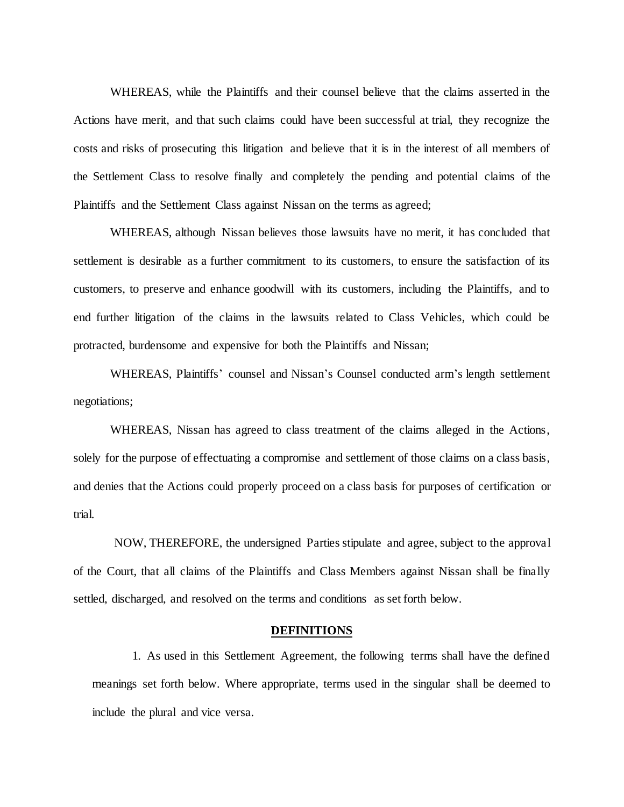WHEREAS, while the Plaintiffs and their counsel believe that the claims asserted in the Actions have merit, and that such claims could have been successful at trial, they recognize the costs and risks of prosecuting this litigation and believe that it is in the interest of all members of the Settlement Class to resolve finally and completely the pending and potential claims of the Plaintiffs and the Settlement Class against Nissan on the terms as agreed;

WHEREAS, although Nissan believes those lawsuits have no merit, it has concluded that settlement is desirable as a further commitment to its customers, to ensure the satisfaction of its customers, to preserve and enhance goodwill with its customers, including the Plaintiffs, and to end further litigation of the claims in the lawsuits related to Class Vehicles, which could be protracted, burdensome and expensive for both the Plaintiffs and Nissan;

WHEREAS, Plaintiffs' counsel and Nissan's Counsel conducted arm's length settlement negotiations;

WHEREAS, Nissan has agreed to class treatment of the claims alleged in the Actions, solely for the purpose of effectuating a compromise and settlement of those claims on a class basis, and denies that the Actions could properly proceed on a class basis for purposes of certification or trial.

NOW, THEREFORE, the undersigned Parties stipulate and agree, subject to the approval of the Court, that all claims of the Plaintiffs and Class Members against Nissan shall be finally settled, discharged, and resolved on the terms and conditions as set forth below.

#### **DEFINITIONS**

1. As used in this Settlement Agreement, the following terms shall have the defined meanings set forth below. Where appropriate, terms used in the singular shall be deemed to include the plural and vice versa.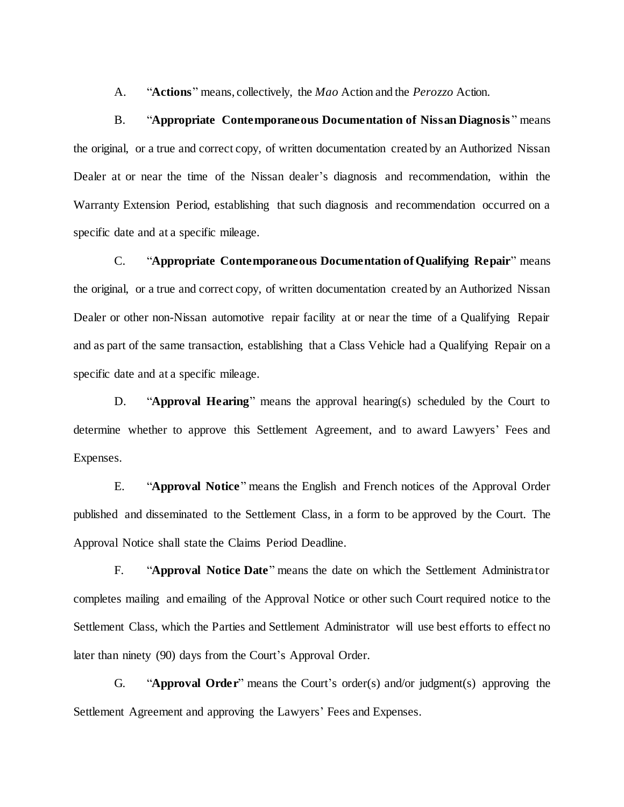A. "**Actions**" means, collectively, the *Mao* Action and the *Perozzo* Action.

B. "**Appropriate Contemporaneous Documentation of Nissan Diagnosis** " means the original, or a true and correct copy, of written documentation created by an Authorized Nissan Dealer at or near the time of the Nissan dealer's diagnosis and recommendation, within the Warranty Extension Period, establishing that such diagnosis and recommendation occurred on a specific date and at a specific mileage.

C. "**Appropriate Contemporaneous Documentation of Qualifying Repair**" means the original, or a true and correct copy, of written documentation created by an Authorized Nissan Dealer or other non-Nissan automotive repair facility at or near the time of a Qualifying Repair and as part of the same transaction, establishing that a Class Vehicle had a Qualifying Repair on a specific date and at a specific mileage.

D. "**Approval Hearing**" means the approval hearing(s) scheduled by the Court to determine whether to approve this Settlement Agreement, and to award Lawyers' Fees and Expenses.

E. "**Approval Notice**" means the English and French notices of the Approval Order published and disseminated to the Settlement Class, in a form to be approved by the Court. The Approval Notice shall state the Claims Period Deadline.

F. "**Approval Notice Date**" means the date on which the Settlement Administrator completes mailing and emailing of the Approval Notice or other such Court required notice to the Settlement Class, which the Parties and Settlement Administrator will use best efforts to effect no later than ninety (90) days from the Court's Approval Order.

G. "**Approval Order**" means the Court's order(s) and/or judgment(s) approving the Settlement Agreement and approving the Lawyers' Fees and Expenses.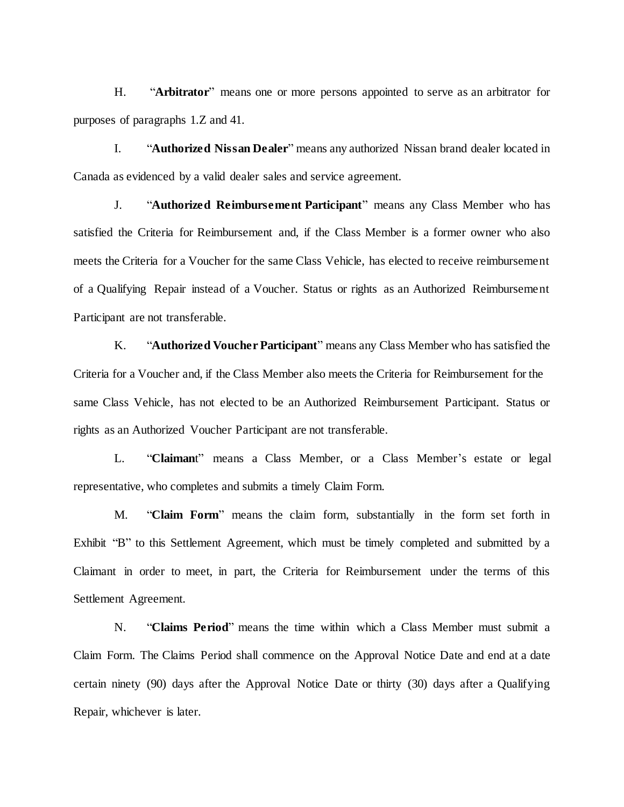H. "**Arbitrator**" means one or more persons appointed to serve as an arbitrator for purposes of paragraphs 1.Z and [41.](#page-23-0)

I. "**Authorized Nissan Dealer**" means any authorized Nissan brand dealer located in Canada as evidenced by a valid dealer sales and service agreement.

J. "**Authorized Reimbursement Participant**" means any Class Member who has satisfied the Criteria for Reimbursement and, if the Class Member is a former owner who also meets the Criteria for a Voucher for the same Class Vehicle, has elected to receive reimbursement of a Qualifying Repair instead of a Voucher. Status or rights as an Authorized Reimbursement Participant are not transferable.

K. "**Authorized Voucher Participant**" means any Class Member who has satisfied the Criteria for a Voucher and, if the Class Member also meets the Criteria for Reimbursement for the same Class Vehicle, has not elected to be an Authorized Reimbursement Participant. Status or rights as an Authorized Voucher Participant are not transferable.

L. "**Claiman**t" means a Class Member, or a Class Member's estate or legal representative, who completes and submits a timely Claim Form.

M. "**Claim Form**" means the claim form, substantially in the form set forth in Exhibit "B" to this Settlement Agreement, which must be timely completed and submitted by a Claimant in order to meet, in part, the Criteria for Reimbursement under the terms of this Settlement Agreement.

N. "**Claims Period**" means the time within which a Class Member must submit a Claim Form. The Claims Period shall commence on the Approval Notice Date and end at a date certain ninety (90) days after the Approval Notice Date or thirty (30) days after a Qualifying Repair, whichever is later.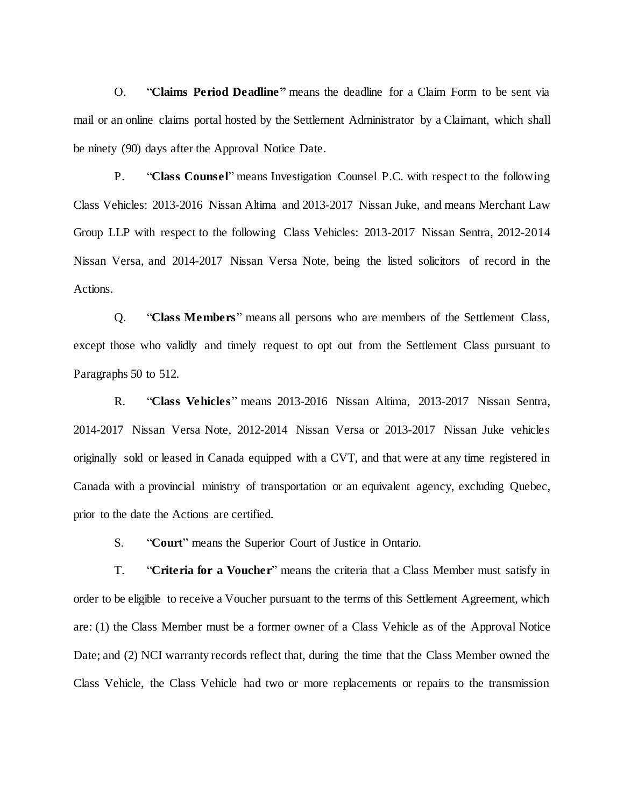O. "**Claims Period Deadline"** means the deadline for a Claim Form to be sent via mail or an online claims portal hosted by the Settlement Administrator by a Claimant, which shall be ninety (90) days after the Approval Notice Date.

P. "**Class Counsel**" means Investigation Counsel P.C. with respect to the following Class Vehicles: 2013-2016 Nissan Altima and 2013-2017 Nissan Juke, and means Merchant Law Group LLP with respect to the following Class Vehicles: 2013-2017 Nissan Sentra, 2012-2014 Nissan Versa, and 2014-2017 Nissan Versa Note, being the listed solicitors of record in the Actions.

Q. "**Class Members**" means all persons who are members of the Settlement Class, except those who validly and timely request to opt out from the Settlement Class pursuant to Paragraphs [50](#page-27-0) to [512](#page-27-1).

R. "**Class Vehicles**" means 2013-2016 Nissan Altima, 2013-2017 Nissan Sentra, 2014-2017 Nissan Versa Note, 2012-2014 Nissan Versa or 2013-2017 Nissan Juke vehicles originally sold or leased in Canada equipped with a CVT, and that were at any time registered in Canada with a provincial ministry of transportation or an equivalent agency, excluding Quebec, prior to the date the Actions are certified.

S. "**Court**" means the Superior Court of Justice in Ontario.

T. "**Criteria for a Voucher**" means the criteria that a Class Member must satisfy in order to be eligible to receive a Voucher pursuant to the terms of this Settlement Agreement, which are: (1) the Class Member must be a former owner of a Class Vehicle as of the Approval Notice Date; and (2) NCI warranty records reflect that, during the time that the Class Member owned the Class Vehicle, the Class Vehicle had two or more replacements or repairs to the transmission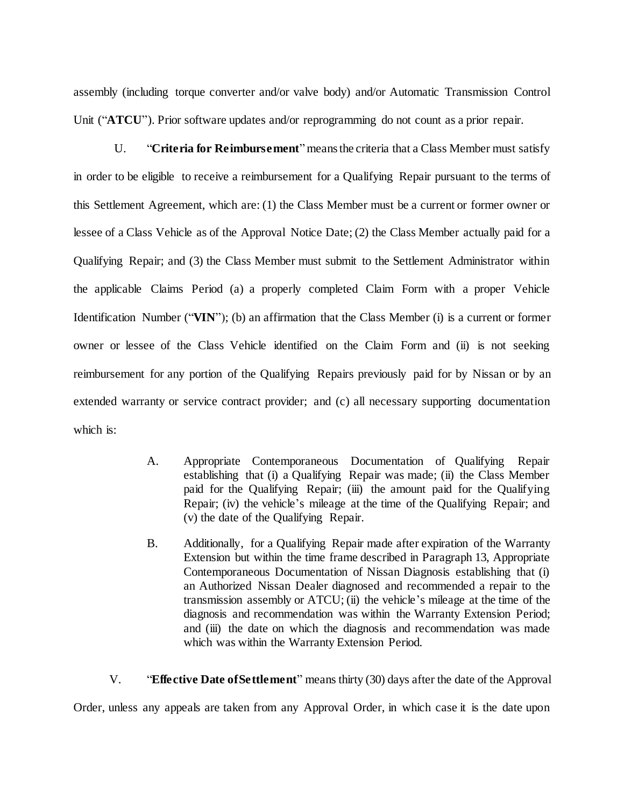assembly (including torque converter and/or valve body) and/or Automatic Transmission Control Unit ("**ATCU**"). Prior software updates and/or reprogramming do not count as a prior repair.

U. "**Criteria for Reimbursement**" means the criteria that a Class Member must satisfy in order to be eligible to receive a reimbursement for a Qualifying Repair pursuant to the terms of this Settlement Agreement, which are: (1) the Class Member must be a current or former owner or lessee of a Class Vehicle as of the Approval Notice Date; (2) the Class Member actually paid for a Qualifying Repair; and (3) the Class Member must submit to the Settlement Administrator within the applicable Claims Period (a) a properly completed Claim Form with a proper Vehicle Identification Number ("**VIN**"); (b) an affirmation that the Class Member (i) is a current or former owner or lessee of the Class Vehicle identified on the Claim Form and (ii) is not seeking reimbursement for any portion of the Qualifying Repairs previously paid for by Nissan or by an extended warranty or service contract provider; and (c) all necessary supporting documentation which is:

- A. Appropriate Contemporaneous Documentation of Qualifying Repair establishing that (i) a Qualifying Repair was made; (ii) the Class Member paid for the Qualifying Repair; (iii) the amount paid for the Qualifying Repair; (iv) the vehicle's mileage at the time of the Qualifying Repair; and (v) the date of the Qualifying Repair.
- B. Additionally, for a Qualifying Repair made after expiration of the Warranty Extension but within the time frame described in Paragrap[h 13,](#page-14-0) Appropriate Contemporaneous Documentation of Nissan Diagnosis establishing that (i) an Authorized Nissan Dealer diagnosed and recommended a repair to the transmission assembly or ATCU; (ii) the vehicle's mileage at the time of the diagnosis and recommendation was within the Warranty Extension Period; and (iii) the date on which the diagnosis and recommendation was made which was within the Warranty Extension Period.

V. "**Effective Date of Settlement**" means thirty (30) days after the date of the Approval Order, unless any appeals are taken from any Approval Order, in which case it is the date upon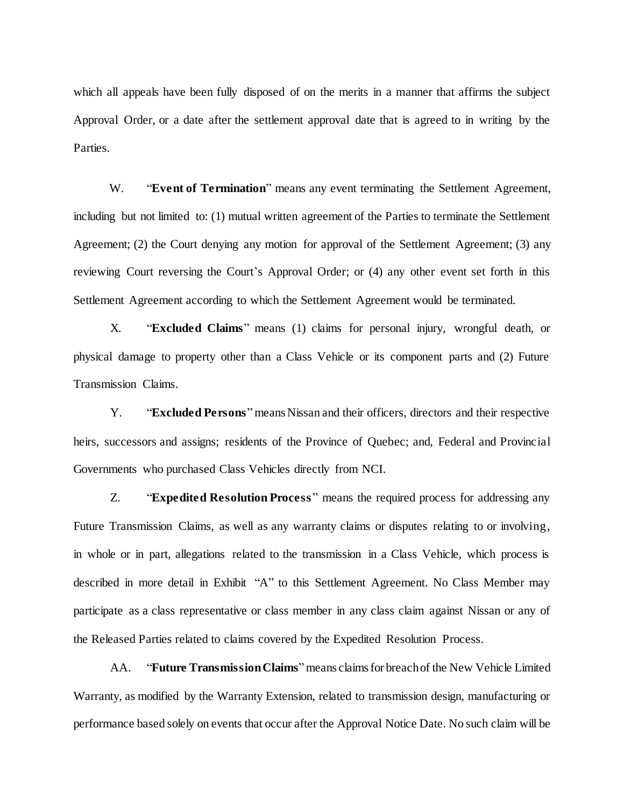which all appeals have been fully disposed of on the merits in a manner that affirms the subject Approval Order, or a date after the settlement approval date that is agreed to in writing by the Parties.

W. **"Event of Termination**" means any event terminating the Settlement Agreement, including but not limited to: (1) mutual written agreement of the Parties to terminate the Settlement Agreement; (2) the Court denying any motion for approval of the Settlement Agreement; (3) any reviewing Court reversing the Court's Approval Order; or (4) any other event set forth in this Settlement Agreement according to which the Settlement Agreement would be terminated.

X. "**Excluded Claims**" means (1) claims for personal injury, wrongful death, or physical damage to property other than a Class Vehicle or its component parts and (2) Future Transmission Claims.

Y. "**Excluded Persons**"means Nissan and their officers, directors and their respective heirs, successors and assigns; residents of the Province of Quebec; and, Federal and Provincial Governments who purchased Class Vehicles directly from NCI.

Z. "**Expedited Resolution Process**" means the required process for addressing any Future Transmission Claims, as well as any warranty claims or disputes relating to or involving, in whole or in part, allegations related to the transmission in a Class Vehicle, which process is described in more detail in Exhibit "A" to this Settlement Agreement. No Class Member may participate as a class representative or class member in any class claim against Nissan or any of the Released Parties related to claims covered by the Expedited Resolution Process.

AA. "**Future Transmission Claims**" means claims for breach of the New Vehicle Limited Warranty, as modified by the Warranty Extension, related to transmission design, manufacturing or performance based solely on events that occur after the Approval Notice Date. No such claim will be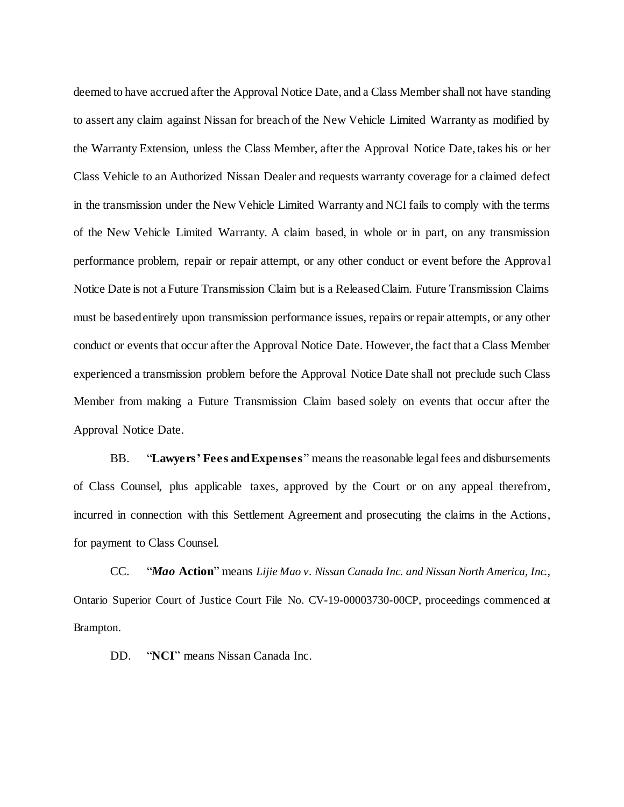deemed to have accrued after the Approval Notice Date, and a Class Member shall not have standing to assert any claim against Nissan for breach of the New Vehicle Limited Warranty as modified by the Warranty Extension, unless the Class Member, after the Approval Notice Date, takes his or her Class Vehicle to an Authorized Nissan Dealer and requests warranty coverage for a claimed defect in the transmission under the New Vehicle Limited Warranty and NCI fails to comply with the terms of the New Vehicle Limited Warranty. A claim based, in whole or in part, on any transmission performance problem, repair or repair attempt, or any other conduct or event before the Approval Notice Date is not a Future Transmission Claim but is a Released Claim. Future Transmission Claims must be based entirely upon transmission performance issues, repairs or repair attempts, or any other conduct or events that occur after the Approval Notice Date. However, the fact that a Class Member experienced a transmission problem before the Approval Notice Date shall not preclude such Class Member from making a Future Transmission Claim based solely on events that occur after the Approval Notice Date.

BB. "**Lawyers' Fees and Expenses**" means the reasonable legal fees and disbursements of Class Counsel, plus applicable taxes, approved by the Court or on any appeal therefrom, incurred in connection with this Settlement Agreement and prosecuting the claims in the Actions, for payment to Class Counsel.

CC. "*Mao* **Action**" means *Lijie Mao v. Nissan Canada Inc. and Nissan North America, Inc.*, Ontario Superior Court of Justice Court File No. CV-19-00003730-00CP, proceedings commenced at Brampton.

DD. "**NCI**" means Nissan Canada Inc.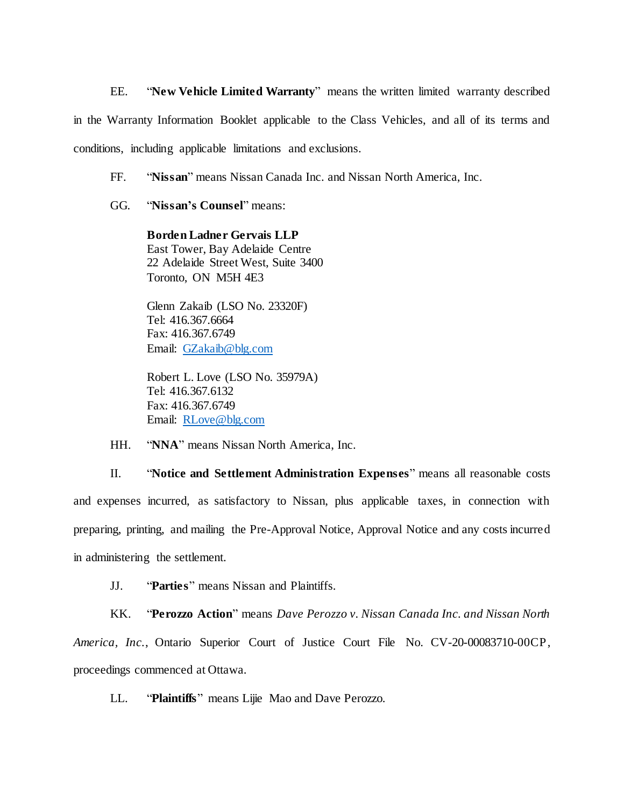EE. "**New Vehicle Limited Warranty**" means the written limited warranty described in the Warranty Information Booklet applicable to the Class Vehicles, and all of its terms and conditions, including applicable limitations and exclusions.

FF. "**Nissan**" means Nissan Canada Inc. and Nissan North America, Inc.

GG. "**Nissan's Counsel**" means:

**Borden Ladner Gervais LLP** East Tower, Bay Adelaide Centre 22 Adelaide Street West, Suite 3400 Toronto, ON M5H 4E3

Glenn Zakaib (LSO No. 23320F) Tel: 416.367.6664 Fax: 416.367.6749 Email: [GZakaib@blg.com](mailto:GZakaib@blg.com)

Robert L. Love (LSO No. 35979A) Tel: 416.367.6132 Fax: 416.367.6749 Email: [RLove@blg.com](mailto:RLove@blg.com)

HH. "**NNA**" means Nissan North America, Inc.

II. "**Notice and Settlement Administration Expenses**" means all reasonable costs and expenses incurred, as satisfactory to Nissan, plus applicable taxes, in connection with preparing, printing, and mailing the Pre-Approval Notice, Approval Notice and any costs incurred in administering the settlement.

JJ. "**Parties**" means Nissan and Plaintiffs.

KK. "**Perozzo Action**" means *Dave Perozzo v. Nissan Canada Inc. and Nissan North America, Inc.*, Ontario Superior Court of Justice Court File No. CV-20-00083710-00CP, proceedings commenced at Ottawa.

LL. "**Plaintiffs**" means Lijie Mao and Dave Perozzo.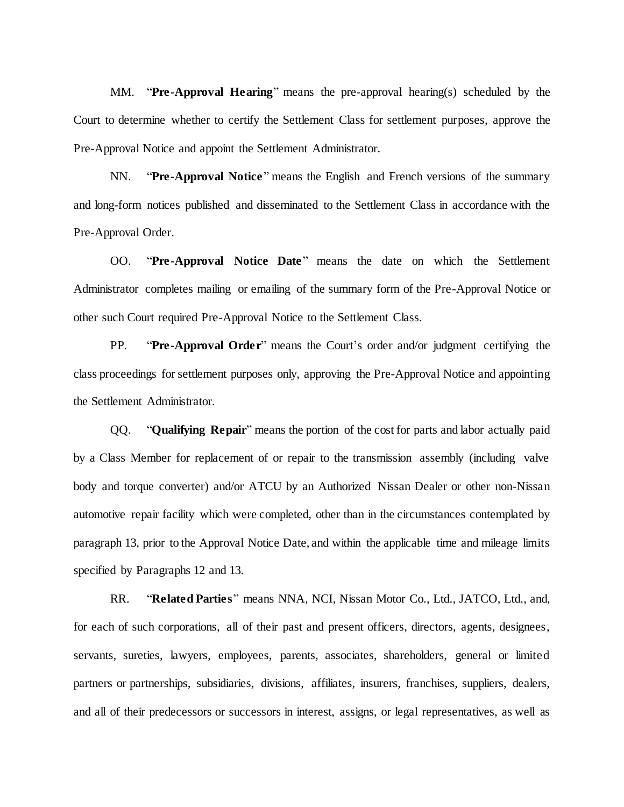MM. "**Pre-Approval Hearing**" means the pre-approval hearing(s) scheduled by the Court to determine whether to certify the Settlement Class for settlement purposes, approve the Pre-Approval Notice and appoint the Settlement Administrator.

NN. "**Pre-Approval Notice**" means the English and French versions of the summary and long-form notices published and disseminated to the Settlement Class in accordance with the Pre-Approval Order.

OO. "**Pre-Approval Notice Date**" means the date on which the Settlement Administrator completes mailing or emailing of the summary form of the Pre-Approval Notice or other such Court required Pre-Approval Notice to the Settlement Class.

PP. "**Pre-Approval Order**" means the Court's order and/or judgment certifying the class proceedings for settlement purposes only, approving the Pre-Approval Notice and appointing the Settlement Administrator.

QQ. "**Qualifying Repair**" means the portion of the cost for parts and labor actually paid by a Class Member for replacement of or repair to the transmission assembly (including valve body and torque converter) and/or ATCU by an Authorized Nissan Dealer or other non-Nissan automotive repair facility which were completed, other than in the circumstances contemplated by paragraph 13, prior to the Approval Notice Date, and within the applicable time and mileage limits specified by Paragraph[s 12](#page-14-1) and [13.](#page-14-0)

RR. "**Related Parties**" means NNA, NCI, Nissan Motor Co., Ltd., JATCO, Ltd., and, for each of such corporations, all of their past and present officers, directors, agents, designees, servants, sureties, lawyers, employees, parents, associates, shareholders, general or limited partners or partnerships, subsidiaries, divisions, affiliates, insurers, franchises, suppliers, dealers, and all of their predecessors or successors in interest, assigns, or legal representatives, as well as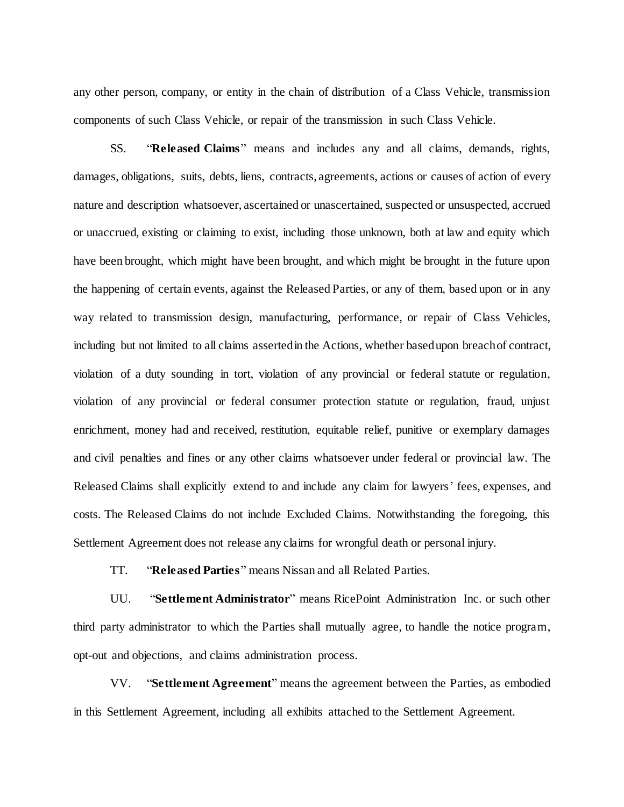any other person, company, or entity in the chain of distribution of a Class Vehicle, transmission components of such Class Vehicle, or repair of the transmission in such Class Vehicle.

SS. "**Released Claims**" means and includes any and all claims, demands, rights, damages, obligations, suits, debts, liens, contracts, agreements, actions or causes of action of every nature and description whatsoever, ascertained or unascertained, suspected or unsuspected, accrued or unaccrued, existing or claiming to exist, including those unknown, both at law and equity which have been brought, which might have been brought, and which might be brought in the future upon the happening of certain events, against the Released Parties, or any of them, based upon or in any way related to transmission design, manufacturing, performance, or repair of Class Vehicles, including but not limited to all claims asserted in the Actions, whether based upon breach of contract, violation of a duty sounding in tort, violation of any provincial or federal statute or regulation, violation of any provincial or federal consumer protection statute or regulation, fraud, unjust enrichment, money had and received, restitution, equitable relief, punitive or exemplary damages and civil penalties and fines or any other claims whatsoever under federal or provincial law. The Released Claims shall explicitly extend to and include any claim for lawyers' fees, expenses, and costs. The Released Claims do not include Excluded Claims. Notwithstanding the foregoing, this Settlement Agreement does not release any claims for wrongful death or personal injury.

TT. "**Released Parties**" means Nissan and all Related Parties.

UU. "**Settlement Administrator**" means RicePoint Administration Inc. or such other third party administrator to which the Parties shall mutually agree, to handle the notice program, opt-out and objections, and claims administration process.

VV. "**Settlement Agreement**" means the agreement between the Parties, as embodied in this Settlement Agreement, including all exhibits attached to the Settlement Agreement.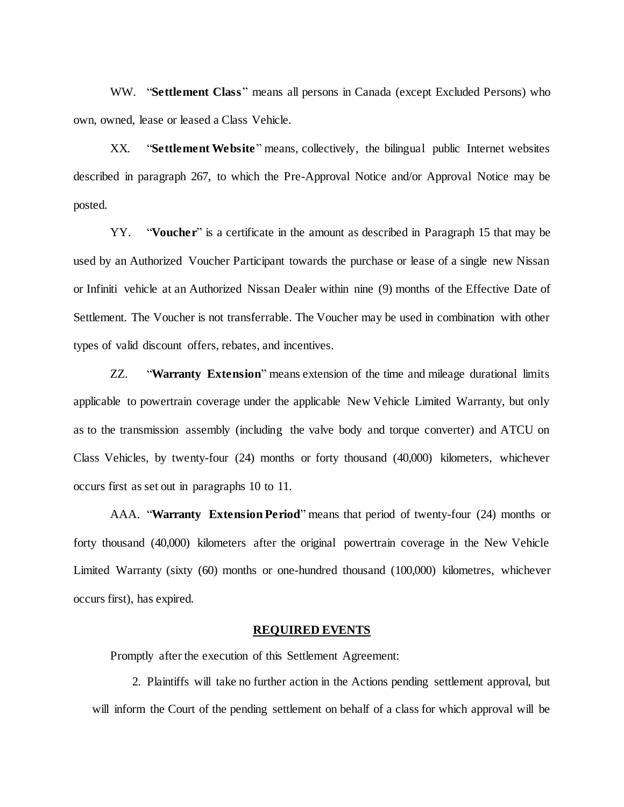WW. "**Settlement Class**" means all persons in Canada (except Excluded Persons) who own, owned, lease or leased a Class Vehicle.

XX. "**Settlement Website**" means, collectively, the bilingual public Internet websites described in paragraph [267](#page-17-0), to which the Pre-Approval Notice and/or Approval Notice may be posted.

<span id="page-11-1"></span>YY. "**Voucher**" is a certificate in the amount as described in Paragraph [15](#page-15-0) that may be used by an Authorized Voucher Participant towards the purchase or lease of a single new Nissan or Infiniti vehicle at an Authorized Nissan Dealer within nine (9) months of the Effective Date of Settlement. The Voucher is not transferrable. The Voucher may be used in combination with other types of valid discount offers, rebates, and incentives.

ZZ. "**Warranty Extension**" means extension of the time and mileage durational limits applicable to powertrain coverage under the applicable New Vehicle Limited Warranty, but only as to the transmission assembly (including the valve body and torque converter) and ATCU on Class Vehicles, by twenty-four (24) months or forty thousand (40,000) kilometers, whichever occurs first as set out in paragraphs [10](#page-13-0) to [11.](#page-13-1)

<span id="page-11-0"></span>AAA. "**Warranty Extension Period**" means that period of twenty-four (24) months or forty thousand (40,000) kilometers after the original powertrain coverage in the New Vehicle Limited Warranty (sixty (60) months or one-hundred thousand (100,000) kilometres, whichever occurs first), has expired.

#### **REQUIRED EVENTS**

Promptly after the execution of this Settlement Agreement:

2. Plaintiffs will take no further action in the Actions pending settlement approval, but will inform the Court of the pending settlement on behalf of a class for which approval will be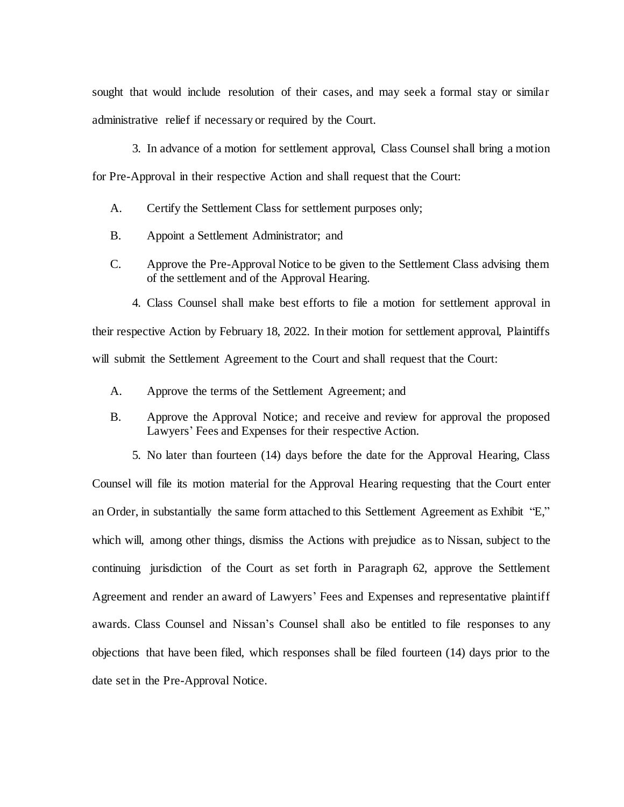sought that would include resolution of their cases, and may seek a formal stay or similar administrative relief if necessary or required by the Court.

3. In advance of a motion for settlement approval, Class Counsel shall bring a motion for Pre-Approval in their respective Action and shall request that the Court:

A. Certify the Settlement Class for settlement purposes only;

- B. Appoint a Settlement Administrator; and
- C. Approve the Pre-Approval Notice to be given to the Settlement Class advising them of the settlement and of the Approval Hearing.

4. Class Counsel shall make best efforts to file a motion for settlement approval in their respective Action by February 18, 2022. In their motion for settlement approval, Plaintiffs will submit the Settlement Agreement to the Court and shall request that the Court:

- A. Approve the terms of the Settlement Agreement; and
- B. Approve the Approval Notice; and receive and review for approval the proposed Lawyers' Fees and Expenses for their respective Action.

5. No later than fourteen (14) days before the date for the Approval Hearing, Class Counsel will file its motion material for the Approval Hearing requesting that the Court enter an Order, in substantially the same form attached to this Settlement Agreement as Exhibit "E," which will, among other things, dismiss the Actions with prejudice as to Nissan, subject to the continuing jurisdiction of the Court as set forth in Paragraph [62,](#page-30-0) approve the Settlement Agreement and render an award of Lawyers' Fees and Expenses and representative plaintiff awards. Class Counsel and Nissan's Counsel shall also be entitled to file responses to any objections that have been filed, which responses shall be filed fourteen (14) days prior to the date set in the Pre-Approval Notice.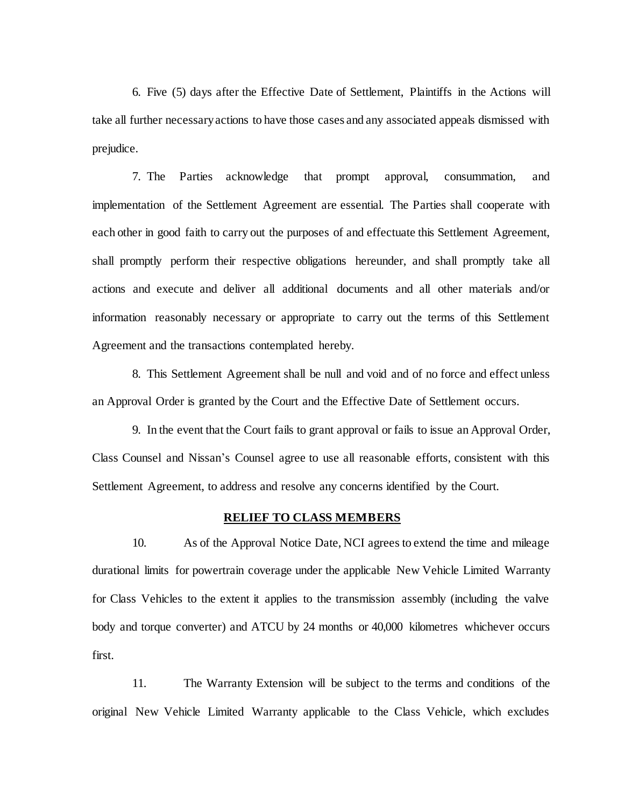6. Five (5) days after the Effective Date of Settlement, Plaintiffs in the Actions will take all further necessary actions to have those cases and any associated appeals dismissed with prejudice.

7. The Parties acknowledge that prompt approval, consummation, and implementation of the Settlement Agreement are essential. The Parties shall cooperate with each other in good faith to carry out the purposes of and effectuate this Settlement Agreement, shall promptly perform their respective obligations hereunder, and shall promptly take all actions and execute and deliver all additional documents and all other materials and/or information reasonably necessary or appropriate to carry out the terms of this Settlement Agreement and the transactions contemplated hereby.

8. This Settlement Agreement shall be null and void and of no force and effect unless an Approval Order is granted by the Court and the Effective Date of Settlement occurs.

9. In the event that the Court fails to grant approval or fails to issue an Approval Order, Class Counsel and Nissan's Counsel agree to use all reasonable efforts, consistent with this Settlement Agreement, to address and resolve any concerns identified by the Court.

#### **RELIEF TO CLASS MEMBERS**

<span id="page-13-0"></span>10. As of the Approval Notice Date, NCI agrees to extend the time and mileage durational limits for powertrain coverage under the applicable New Vehicle Limited Warranty for Class Vehicles to the extent it applies to the transmission assembly (including the valve body and torque converter) and ATCU by 24 months or 40,000 kilometres whichever occurs first.

<span id="page-13-1"></span>11. The Warranty Extension will be subject to the terms and conditions of the original New Vehicle Limited Warranty applicable to the Class Vehicle, which excludes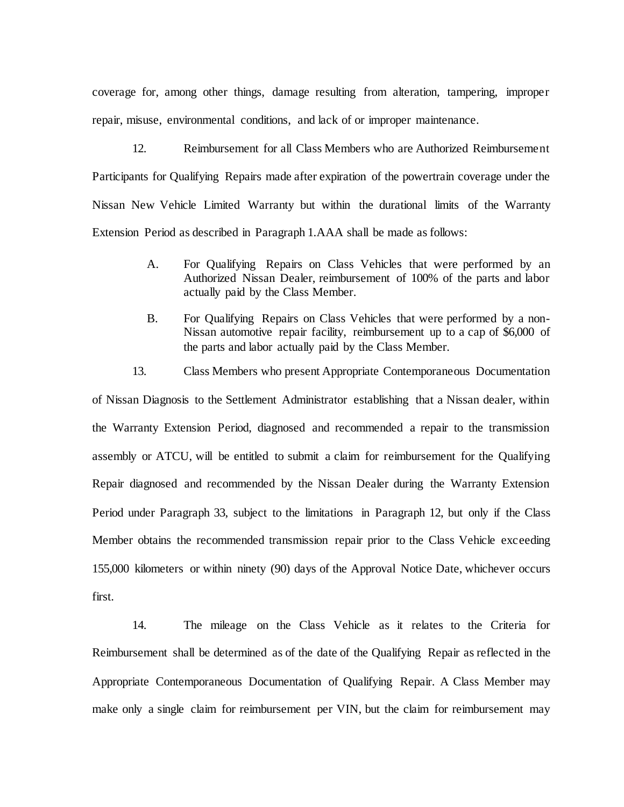coverage for, among other things, damage resulting from alteration, tampering, improper repair, misuse, environmental conditions, and lack of or improper maintenance.

<span id="page-14-1"></span>12. Reimbursement for all Class Members who are Authorized Reimbursement Participants for Qualifying Repairs made after expiration of the powertrain coverage under the Nissan New Vehicle Limited Warranty but within the durational limits of the Warranty Extension Period as described in Paragraph 1[.AAA](#page-11-0) shall be made as follows:

- A. For Qualifying Repairs on Class Vehicles that were performed by an Authorized Nissan Dealer, reimbursement of 100% of the parts and labor actually paid by the Class Member.
- B. For Qualifying Repairs on Class Vehicles that were performed by a non-Nissan automotive repair facility, reimbursement up to a cap of \$6,000 of the parts and labor actually paid by the Class Member.
- 13. Class Members who present Appropriate Contemporaneous Documentation

<span id="page-14-0"></span>of Nissan Diagnosis to the Settlement Administrator establishing that a Nissan dealer, within the Warranty Extension Period, diagnosed and recommended a repair to the transmission assembly or ATCU, will be entitled to submit a claim for reimbursement for the Qualifying Repair diagnosed and recommended by the Nissan Dealer during the Warranty Extension Period under Paragraph [33,](#page-20-0) subject to the limitations in Paragraph [12,](#page-14-1) but only if the Class Member obtains the recommended transmission repair prior to the Class Vehicle exceeding 155,000 kilometers or within ninety (90) days of the Approval Notice Date, whichever occurs first.

14. The mileage on the Class Vehicle as it relates to the Criteria for Reimbursement shall be determined as of the date of the Qualifying Repair as reflected in the Appropriate Contemporaneous Documentation of Qualifying Repair. A Class Member may make only a single claim for reimbursement per VIN, but the claim for reimbursement may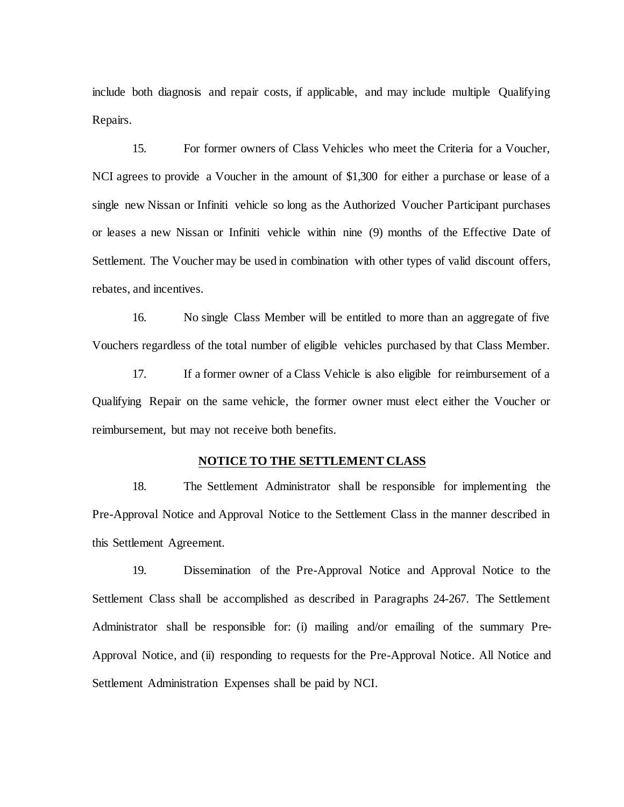include both diagnosis and repair costs, if applicable, and may include multiple Qualifying Repairs.

<span id="page-15-0"></span>15. For former owners of Class Vehicles who meet the Criteria for a Voucher, NCI agrees to provide a Voucher in the amount of \$1,300 for either a purchase or lease of a single new Nissan or Infiniti vehicle so long as the Authorized Voucher Participant purchases or leases a new Nissan or Infiniti vehicle within nine (9) months of the Effective Date of Settlement. The Voucher may be used in combination with other types of valid discount offers, rebates, and incentives.

16. No single Class Member will be entitled to more than an aggregate of five Vouchers regardless of the total number of eligible vehicles purchased by that Class Member.

17. If a former owner of a Class Vehicle is also eligible for reimbursement of a Qualifying Repair on the same vehicle, the former owner must elect either the Voucher or reimbursement, but may not receive both benefits.

# **NOTICE TO THE SETTLEMENT CLASS**

18. The Settlement Administrator shall be responsible for implementing the Pre-Approval Notice and Approval Notice to the Settlement Class in the manner described in this Settlement Agreement.

19. Dissemination of the Pre-Approval Notice and Approval Notice to the Settlement Class shall be accomplished as described in Paragraphs [24](#page-16-0)[-267](#page-17-0). The Settlement Administrator shall be responsible for: (i) mailing and/or emailing of the summary Pre-Approval Notice, and (ii) responding to requests for the Pre-Approval Notice. All Notice and Settlement Administration Expenses shall be paid by NCI.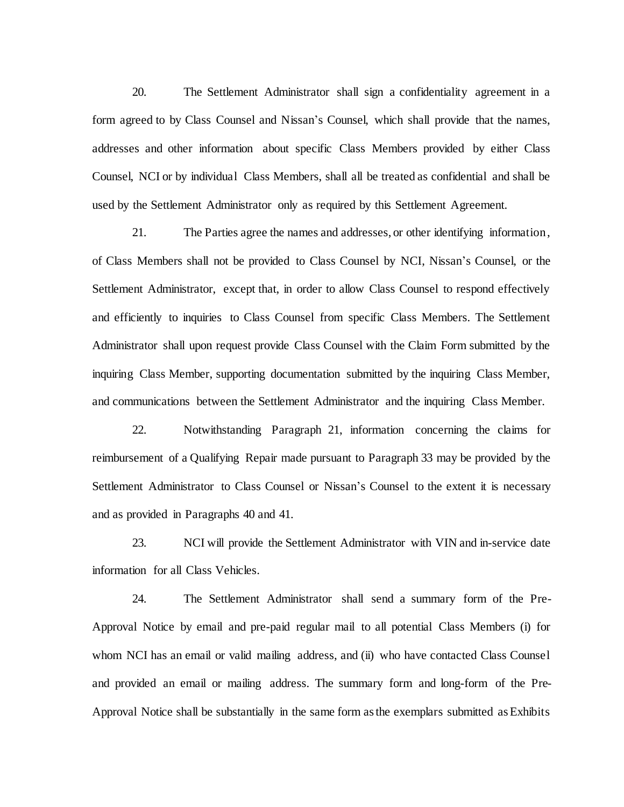20. The Settlement Administrator shall sign a confidentiality agreement in a form agreed to by Class Counsel and Nissan's Counsel, which shall provide that the names, addresses and other information about specific Class Members provided by either Class Counsel, NCI or by individual Class Members, shall all be treated as confidential and shall be used by the Settlement Administrator only as required by this Settlement Agreement.

<span id="page-16-1"></span>21. The Parties agree the names and addresses, or other identifying information, of Class Members shall not be provided to Class Counsel by NCI, Nissan's Counsel, or the Settlement Administrator, except that, in order to allow Class Counsel to respond effectively and efficiently to inquiries to Class Counsel from specific Class Members. The Settlement Administrator shall upon request provide Class Counsel with the Claim Form submitted by the inquiring Class Member, supporting documentation submitted by the inquiring Class Member, and communications between the Settlement Administrator and the inquiring Class Member.

22. Notwithstanding Paragraph [21,](#page-16-1) information concerning the claims for reimbursement of a Qualifying Repair made pursuant to Paragrap[h 33](#page-20-0) may be provided by the Settlement Administrator to Class Counsel or Nissan's Counsel to the extent it is necessary and as provided in Paragraph[s 40](#page-22-0) and [41.](#page-23-0)

23. NCI will provide the Settlement Administrator with VIN and in-service date information for all Class Vehicles.

<span id="page-16-0"></span>24. The Settlement Administrator shall send a summary form of the Pre-Approval Notice by email and pre-paid regular mail to all potential Class Members (i) for whom NCI has an email or valid mailing address, and (ii) who have contacted Class Counsel and provided an email or mailing address. The summary form and long-form of the Pre-Approval Notice shall be substantially in the same form as the exemplars submitted as Exhibits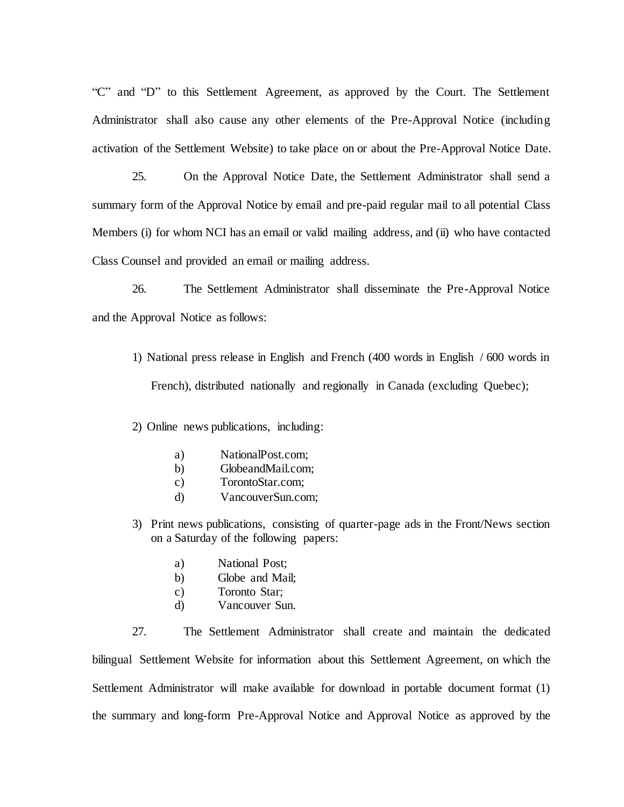"C" and "D" to this Settlement Agreement, as approved by the Court. The Settlement Administrator shall also cause any other elements of the Pre-Approval Notice (including activation of the Settlement Website) to take place on or about the Pre-Approval Notice Date.

25. On the Approval Notice Date, the Settlement Administrator shall send a summary form of the Approval Notice by email and pre-paid regular mail to all potential Class Members (i) for whom NCI has an email or valid mailing address, and (ii) who have contacted Class Counsel and provided an email or mailing address.

<span id="page-17-0"></span>26. The Settlement Administrator shall disseminate the Pre-Approval Notice and the Approval Notice as follows:

1) National press release in English and French (400 words in English / 600 words in French), distributed nationally and regionally in Canada (excluding Quebec);

2) Online news publications, including:

- a) NationalPost.com;
- b) GlobeandMail.com;
- c) TorontoStar.com;
- d) VancouverSun.com;
- 3) Print news publications, consisting of quarter-page ads in the Front/News section on a Saturday of the following papers:
	- a) National Post;
	- b) Globe and Mail;
	- c) Toronto Star;
	- d) Vancouver Sun.

27. The Settlement Administrator shall create and maintain the dedicated bilingual Settlement Website for information about this Settlement Agreement, on which the Settlement Administrator will make available for download in portable document format (1) the summary and long-form Pre-Approval Notice and Approval Notice as approved by the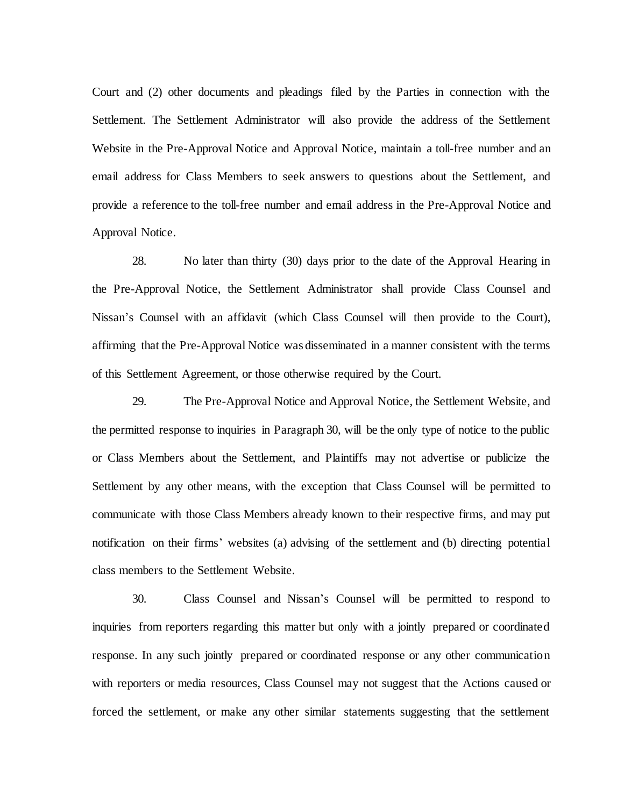Court and (2) other documents and pleadings filed by the Parties in connection with the Settlement. The Settlement Administrator will also provide the address of the Settlement Website in the Pre-Approval Notice and Approval Notice, maintain a toll-free number and an email address for Class Members to seek answers to questions about the Settlement, and provide a reference to the toll-free number and email address in the Pre-Approval Notice and Approval Notice.

28. No later than thirty (30) days prior to the date of the Approval Hearing in the Pre-Approval Notice, the Settlement Administrator shall provide Class Counsel and Nissan's Counsel with an affidavit (which Class Counsel will then provide to the Court), affirming that the Pre-Approval Notice was disseminated in a manner consistent with the terms of this Settlement Agreement, or those otherwise required by the Court.

29. The Pre-Approval Notice and Approval Notice, the Settlement Website, and the permitted response to inquiries in Paragraph 30, will be the only type of notice to the public or Class Members about the Settlement, and Plaintiffs may not advertise or publicize the Settlement by any other means, with the exception that Class Counsel will be permitted to communicate with those Class Members already known to their respective firms, and may put notification on their firms' websites (a) advising of the settlement and (b) directing potential class members to the Settlement Website.

30. Class Counsel and Nissan's Counsel will be permitted to respond to inquiries from reporters regarding this matter but only with a jointly prepared or coordinated response. In any such jointly prepared or coordinated response or any other communication with reporters or media resources, Class Counsel may not suggest that the Actions caused or forced the settlement, or make any other similar statements suggesting that the settlement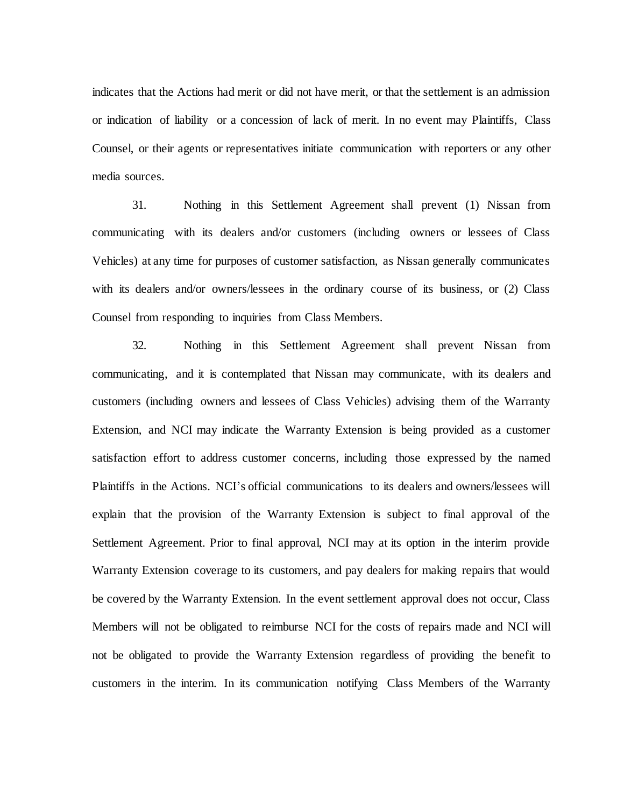indicates that the Actions had merit or did not have merit, or that the settlement is an admission or indication of liability or a concession of lack of merit. In no event may Plaintiffs, Class Counsel, or their agents or representatives initiate communication with reporters or any other media sources.

31. Nothing in this Settlement Agreement shall prevent (1) Nissan from communicating with its dealers and/or customers (including owners or lessees of Class Vehicles) at any time for purposes of customer satisfaction, as Nissan generally communicates with its dealers and/or owners/lessees in the ordinary course of its business, or (2) Class Counsel from responding to inquiries from Class Members.

32. Nothing in this Settlement Agreement shall prevent Nissan from communicating, and it is contemplated that Nissan may communicate, with its dealers and customers (including owners and lessees of Class Vehicles) advising them of the Warranty Extension, and NCI may indicate the Warranty Extension is being provided as a customer satisfaction effort to address customer concerns, including those expressed by the named Plaintiffs in the Actions. NCI's official communications to its dealers and owners/lessees will explain that the provision of the Warranty Extension is subject to final approval of the Settlement Agreement. Prior to final approval, NCI may at its option in the interim provide Warranty Extension coverage to its customers, and pay dealers for making repairs that would be covered by the Warranty Extension. In the event settlement approval does not occur, Class Members will not be obligated to reimburse NCI for the costs of repairs made and NCI will not be obligated to provide the Warranty Extension regardless of providing the benefit to customers in the interim. In its communication notifying Class Members of the Warranty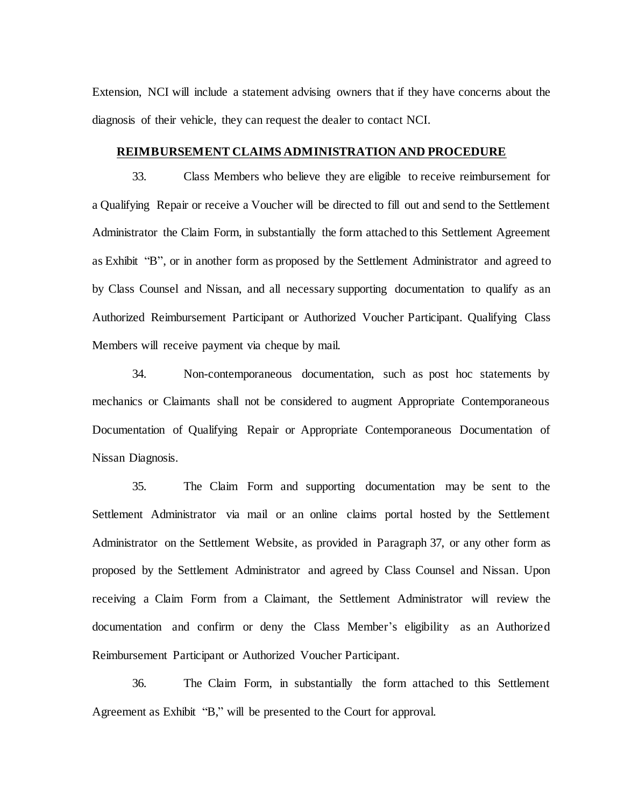Extension, NCI will include a statement advising owners that if they have concerns about the diagnosis of their vehicle, they can request the dealer to contact NCI.

# **REIMBURSEMENT CLAIMS ADMINISTRATION AND PROCEDURE**

<span id="page-20-0"></span>33. Class Members who believe they are eligible to receive reimbursement for a Qualifying Repair or receive a Voucher will be directed to fill out and send to the Settlement Administrator the Claim Form, in substantially the form attached to this Settlement Agreement as Exhibit "B", or in another form as proposed by the Settlement Administrator and agreed to by Class Counsel and Nissan, and all necessary supporting documentation to qualify as an Authorized Reimbursement Participant or Authorized Voucher Participant. Qualifying Class Members will receive payment via cheque by mail.

34. Non-contemporaneous documentation, such as post hoc statements by mechanics or Claimants shall not be considered to augment Appropriate Contemporaneous Documentation of Qualifying Repair or Appropriate Contemporaneous Documentation of Nissan Diagnosis.

35. The Claim Form and supporting documentation may be sent to the Settlement Administrator via mail or an online claims portal hosted by the Settlement Administrator on the Settlement Website, as provided in Paragrap[h 37,](#page-21-0) or any other form as proposed by the Settlement Administrator and agreed by Class Counsel and Nissan. Upon receiving a Claim Form from a Claimant, the Settlement Administrator will review the documentation and confirm or deny the Class Member's eligibility as an Authorized Reimbursement Participant or Authorized Voucher Participant.

36. The Claim Form, in substantially the form attached to this Settlement Agreement as Exhibit "B," will be presented to the Court for approval.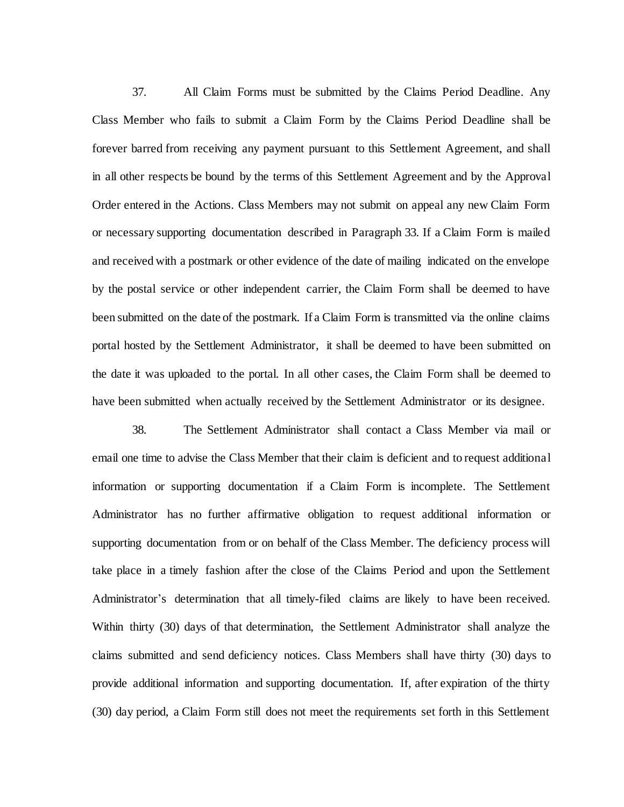<span id="page-21-0"></span>37. All Claim Forms must be submitted by the Claims Period Deadline. Any Class Member who fails to submit a Claim Form by the Claims Period Deadline shall be forever barred from receiving any payment pursuant to this Settlement Agreement, and shall in all other respects be bound by the terms of this Settlement Agreement and by the Approval Order entered in the Actions. Class Members may not submit on appeal any new Claim Form or necessary supporting documentation described in Paragrap[h 33.](#page-20-0) If a Claim Form is mailed and received with a postmark or other evidence of the date of mailing indicated on the envelope by the postal service or other independent carrier, the Claim Form shall be deemed to have been submitted on the date of the postmark. If a Claim Form is transmitted via the online claims portal hosted by the Settlement Administrator, it shall be deemed to have been submitted on the date it was uploaded to the portal. In all other cases, the Claim Form shall be deemed to have been submitted when actually received by the Settlement Administrator or its designee.

<span id="page-21-1"></span>38. The Settlement Administrator shall contact a Class Member via mail or email one time to advise the Class Member that their claim is deficient and to request additional information or supporting documentation if a Claim Form is incomplete. The Settlement Administrator has no further affirmative obligation to request additional information or supporting documentation from or on behalf of the Class Member. The deficiency process will take place in a timely fashion after the close of the Claims Period and upon the Settlement Administrator's determination that all timely-filed claims are likely to have been received. Within thirty (30) days of that determination, the Settlement Administrator shall analyze the claims submitted and send deficiency notices. Class Members shall have thirty (30) days to provide additional information and supporting documentation. If, after expiration of the thirty (30) day period, a Claim Form still does not meet the requirements set forth in this Settlement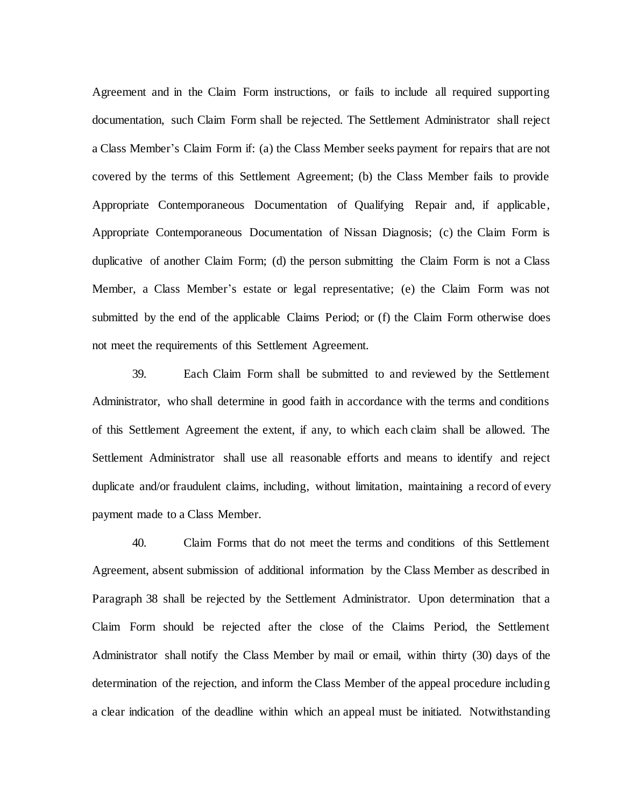Agreement and in the Claim Form instructions, or fails to include all required supporting documentation, such Claim Form shall be rejected. The Settlement Administrator shall reject a Class Member's Claim Form if: (a) the Class Member seeks payment for repairs that are not covered by the terms of this Settlement Agreement; (b) the Class Member fails to provide Appropriate Contemporaneous Documentation of Qualifying Repair and, if applicable, Appropriate Contemporaneous Documentation of Nissan Diagnosis; (c) the Claim Form is duplicative of another Claim Form; (d) the person submitting the Claim Form is not a Class Member, a Class Member's estate or legal representative; (e) the Claim Form was not submitted by the end of the applicable Claims Period; or (f) the Claim Form otherwise does not meet the requirements of this Settlement Agreement.

39. Each Claim Form shall be submitted to and reviewed by the Settlement Administrator, who shall determine in good faith in accordance with the terms and conditions of this Settlement Agreement the extent, if any, to which each claim shall be allowed. The Settlement Administrator shall use all reasonable efforts and means to identify and reject duplicate and/or fraudulent claims, including, without limitation, maintaining a record of every payment made to a Class Member.

<span id="page-22-0"></span>40. Claim Forms that do not meet the terms and conditions of this Settlement Agreement, absent submission of additional information by the Class Member as described in Paragraph [38](#page-21-1) shall be rejected by the Settlement Administrator. Upon determination that a Claim Form should be rejected after the close of the Claims Period, the Settlement Administrator shall notify the Class Member by mail or email, within thirty (30) days of the determination of the rejection, and inform the Class Member of the appeal procedure including a clear indication of the deadline within which an appeal must be initiated. Notwithstanding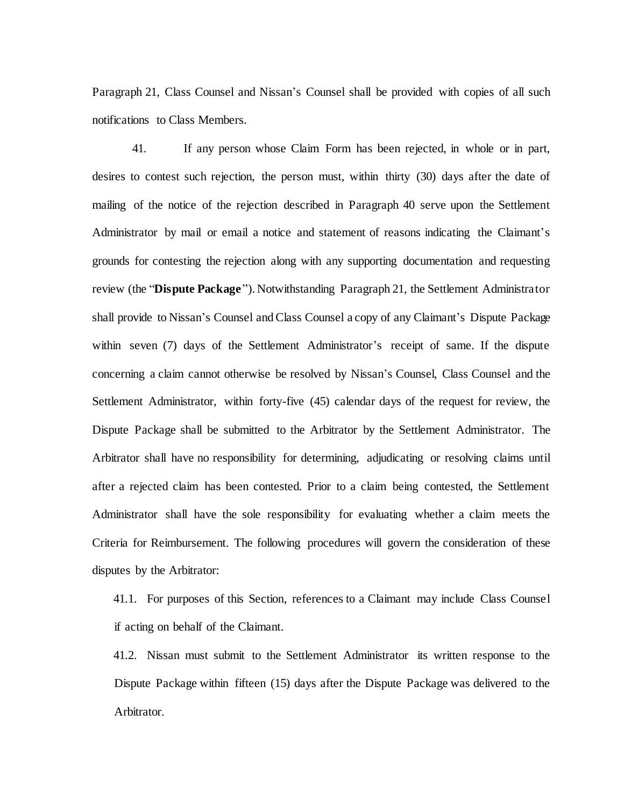Paragraph 21, Class Counsel and Nissan's Counsel shall be provided with copies of all such notifications to Class Members.

<span id="page-23-0"></span>41. If any person whose Claim Form has been rejected, in whole or in part, desires to contest such rejection, the person must, within thirty (30) days after the date of mailing of the notice of the rejection described in Paragraph [40](#page-22-0) serve upon the Settlement Administrator by mail or email a notice and statement of reasons indicating the Claimant's grounds for contesting the rejection along with any supporting documentation and requesting review (the "**Dispute Package**"). Notwithstanding Paragrap[h 21,](#page-16-1) the Settlement Administrator shall provide to Nissan's Counsel and Class Counsel a copy of any Claimant's Dispute Package within seven (7) days of the Settlement Administrator's receipt of same. If the dispute concerning a claim cannot otherwise be resolved by Nissan's Counsel, Class Counsel and the Settlement Administrator, within forty-five (45) calendar days of the request for review, the Dispute Package shall be submitted to the Arbitrator by the Settlement Administrator. The Arbitrator shall have no responsibility for determining, adjudicating or resolving claims until after a rejected claim has been contested. Prior to a claim being contested, the Settlement Administrator shall have the sole responsibility for evaluating whether a claim meets the Criteria for Reimbursement. The following procedures will govern the consideration of these disputes by the Arbitrator:

41.1. For purposes of this Section, references to a Claimant may include Class Counsel if acting on behalf of the Claimant.

41.2. Nissan must submit to the Settlement Administrator its written response to the Dispute Package within fifteen (15) days after the Dispute Package was delivered to the Arbitrator.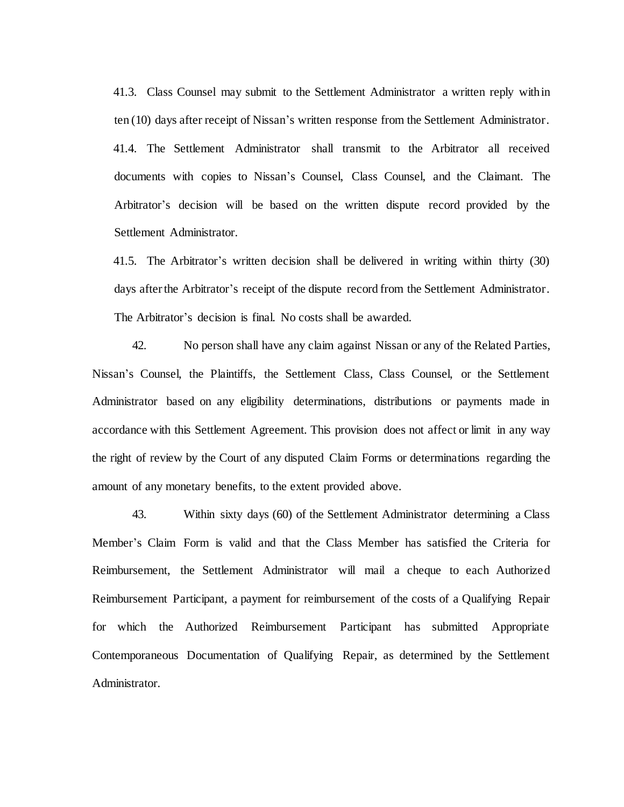41.3. Class Counsel may submit to the Settlement Administrator a written reply within ten (10) days after receipt of Nissan's written response from the Settlement Administrator. 41.4. The Settlement Administrator shall transmit to the Arbitrator all received documents with copies to Nissan's Counsel, Class Counsel, and the Claimant. The Arbitrator's decision will be based on the written dispute record provided by the Settlement Administrator.

41.5. The Arbitrator's written decision shall be delivered in writing within thirty (30) days after the Arbitrator's receipt of the dispute record from the Settlement Administrator. The Arbitrator's decision is final. No costs shall be awarded.

42. No person shall have any claim against Nissan or any of the Related Parties, Nissan's Counsel, the Plaintiffs, the Settlement Class, Class Counsel, or the Settlement Administrator based on any eligibility determinations, distributions or payments made in accordance with this Settlement Agreement. This provision does not affect or limit in any way the right of review by the Court of any disputed Claim Forms or determinations regarding the amount of any monetary benefits, to the extent provided above.

<span id="page-24-0"></span>43. Within sixty days (60) of the Settlement Administrator determining a Class Member's Claim Form is valid and that the Class Member has satisfied the Criteria for Reimbursement, the Settlement Administrator will mail a cheque to each Authorized Reimbursement Participant, a payment for reimbursement of the costs of a Qualifying Repair for which the Authorized Reimbursement Participant has submitted Appropriate Contemporaneous Documentation of Qualifying Repair, as determined by the Settlement Administrator.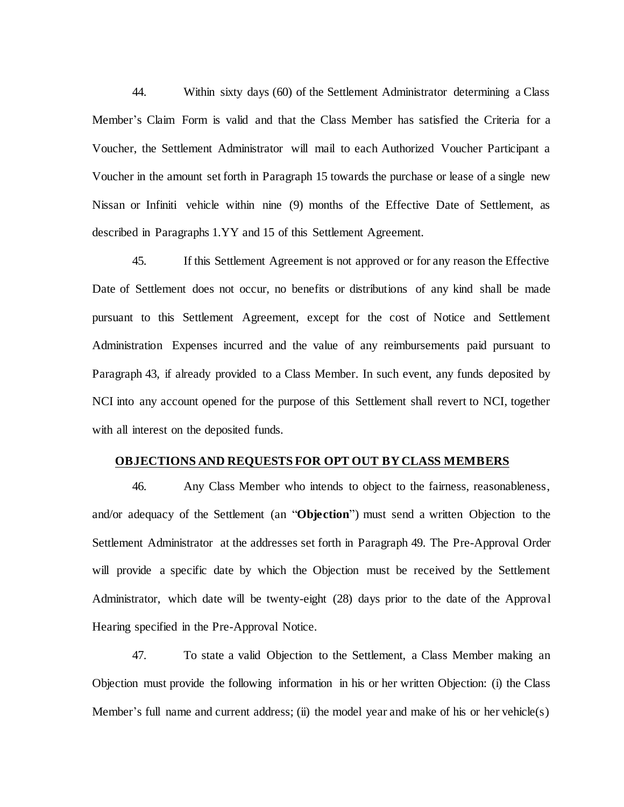44. Within sixty days (60) of the Settlement Administrator determining a Class Member's Claim Form is valid and that the Class Member has satisfied the Criteria for a Voucher, the Settlement Administrator will mail to each Authorized Voucher Participant a Voucher in the amount set forth in Paragraph [15](#page-15-0) towards the purchase or lease of a single new Nissan or Infiniti vehicle within nine (9) months of the Effective Date of Settlement, as described in Paragraphs [1.YY](#page-11-1) an[d 15](#page-15-0) of this Settlement Agreement.

45. If this Settlement Agreement is not approved or for any reason the Effective Date of Settlement does not occur, no benefits or distributions of any kind shall be made pursuant to this Settlement Agreement, except for the cost of Notice and Settlement Administration Expenses incurred and the value of any reimbursements paid pursuant to Paragraph [43,](#page-24-0) if already provided to a Class Member. In such event, any funds deposited by NCI into any account opened for the purpose of this Settlement shall revert to NCI, together with all interest on the deposited funds.

# **OBJECTIONS AND REQUESTS FOR OPT OUT BY CLASS MEMBERS**

46. Any Class Member who intends to object to the fairness, reasonableness, and/or adequacy of the Settlement (an "**Objection**") must send a written Objection to the Settlement Administrator at the addresses set forth in Paragraph [49.](#page-26-0) The Pre-Approval Order will provide a specific date by which the Objection must be received by the Settlement Administrator, which date will be twenty-eight (28) days prior to the date of the Approval Hearing specified in the Pre-Approval Notice.

47. To state a valid Objection to the Settlement, a Class Member making an Objection must provide the following information in his or her written Objection: (i) the Class Member's full name and current address; (ii) the model year and make of his or her vehicle(s)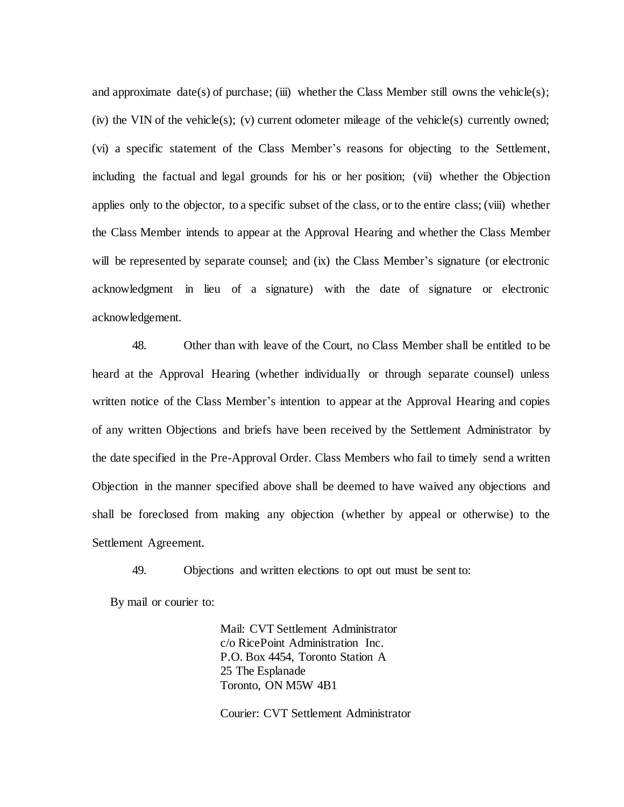and approximate date(s) of purchase; (iii) whether the Class Member still owns the vehicle(s); (iv) the VIN of the vehicle(s); (v) current odometer mileage of the vehicle(s) currently owned; (vi) a specific statement of the Class Member's reasons for objecting to the Settlement, including the factual and legal grounds for his or her position; (vii) whether the Objection applies only to the objector, to a specific subset of the class, or to the entire class; (viii) whether the Class Member intends to appear at the Approval Hearing and whether the Class Member will be represented by separate counsel; and (ix) the Class Member's signature (or electronic acknowledgment in lieu of a signature) with the date of signature or electronic acknowledgement.

48. Other than with leave of the Court, no Class Member shall be entitled to be heard at the Approval Hearing (whether individually or through separate counsel) unless written notice of the Class Member's intention to appear at the Approval Hearing and copies of any written Objections and briefs have been received by the Settlement Administrator by the date specified in the Pre-Approval Order. Class Members who fail to timely send a written Objection in the manner specified above shall be deemed to have waived any objections and shall be foreclosed from making any objection (whether by appeal or otherwise) to the Settlement Agreement.

49. Objections and written elections to opt out must be sent to:

<span id="page-26-0"></span>By mail or courier to:

Mail: CVT Settlement Administrator c/o RicePoint Administration Inc. P.O. Box 4454, Toronto Station A 25 The Esplanade Toronto, ON M5W 4B1

Courier: CVT Settlement Administrator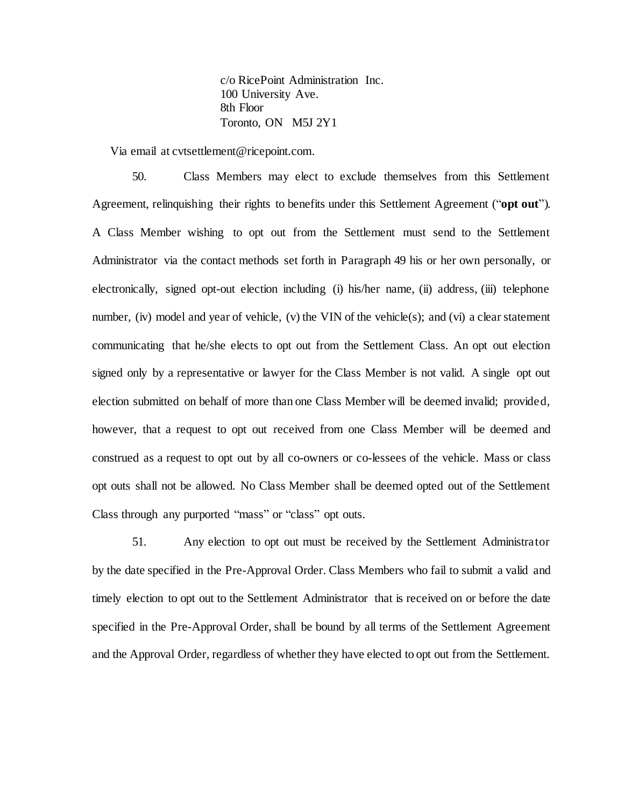c/o RicePoint Administration Inc. 100 University Ave. 8th Floor Toronto, ON M5J 2Y1

Via email at cvtsettlement@ricepoint.com.

<span id="page-27-0"></span>50. Class Members may elect to exclude themselves from this Settlement Agreement, relinquishing their rights to benefits under this Settlement Agreement ("**opt out**"). A Class Member wishing to opt out from the Settlement must send to the Settlement Administrator via the contact methods set forth in Paragrap[h 49](#page-26-0) his or her own personally, or electronically, signed opt-out election including (i) his/her name, (ii) address, (iii) telephone number, (iv) model and year of vehicle, (v) the VIN of the vehicle(s); and (vi) a clear statement communicating that he/she elects to opt out from the Settlement Class. An opt out election signed only by a representative or lawyer for the Class Member is not valid. A single opt out election submitted on behalf of more than one Class Member will be deemed invalid; provided, however, that a request to opt out received from one Class Member will be deemed and construed as a request to opt out by all co-owners or co-lessees of the vehicle. Mass or class opt outs shall not be allowed. No Class Member shall be deemed opted out of the Settlement Class through any purported "mass" or "class" opt outs.

<span id="page-27-1"></span>51. Any election to opt out must be received by the Settlement Administrator by the date specified in the Pre-Approval Order. Class Members who fail to submit a valid and timely election to opt out to the Settlement Administrator that is received on or before the date specified in the Pre-Approval Order, shall be bound by all terms of the Settlement Agreement and the Approval Order, regardless of whether they have elected to opt out from the Settlement.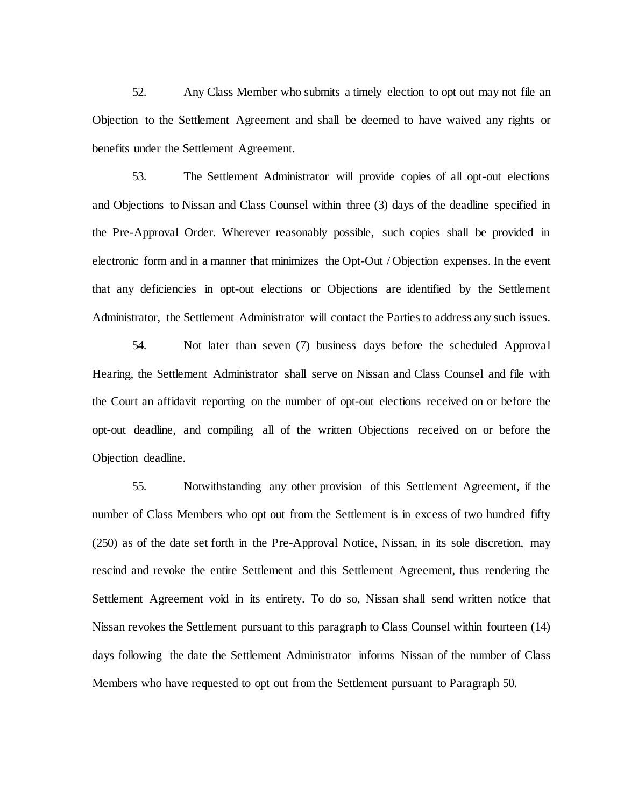52. Any Class Member who submits a timely election to opt out may not file an Objection to the Settlement Agreement and shall be deemed to have waived any rights or benefits under the Settlement Agreement.

53. The Settlement Administrator will provide copies of all opt-out elections and Objections to Nissan and Class Counsel within three (3) days of the deadline specified in the Pre-Approval Order. Wherever reasonably possible, such copies shall be provided in electronic form and in a manner that minimizes the Opt-Out / Objection expenses. In the event that any deficiencies in opt-out elections or Objections are identified by the Settlement Administrator, the Settlement Administrator will contact the Parties to address any such issues.

54. Not later than seven (7) business days before the scheduled Approval Hearing, the Settlement Administrator shall serve on Nissan and Class Counsel and file with the Court an affidavit reporting on the number of opt-out elections received on or before the opt-out deadline, and compiling all of the written Objections received on or before the Objection deadline.

<span id="page-28-0"></span>55. Notwithstanding any other provision of this Settlement Agreement, if the number of Class Members who opt out from the Settlement is in excess of two hundred fifty (250) as of the date set forth in the Pre-Approval Notice, Nissan, in its sole discretion, may rescind and revoke the entire Settlement and this Settlement Agreement, thus rendering the Settlement Agreement void in its entirety. To do so, Nissan shall send written notice that Nissan revokes the Settlement pursuant to this paragraph to Class Counsel within fourteen (14) days following the date the Settlement Administrator informs Nissan of the number of Class Members who have requested to opt out from the Settlement pursuant to Paragraph [50.](#page-27-0)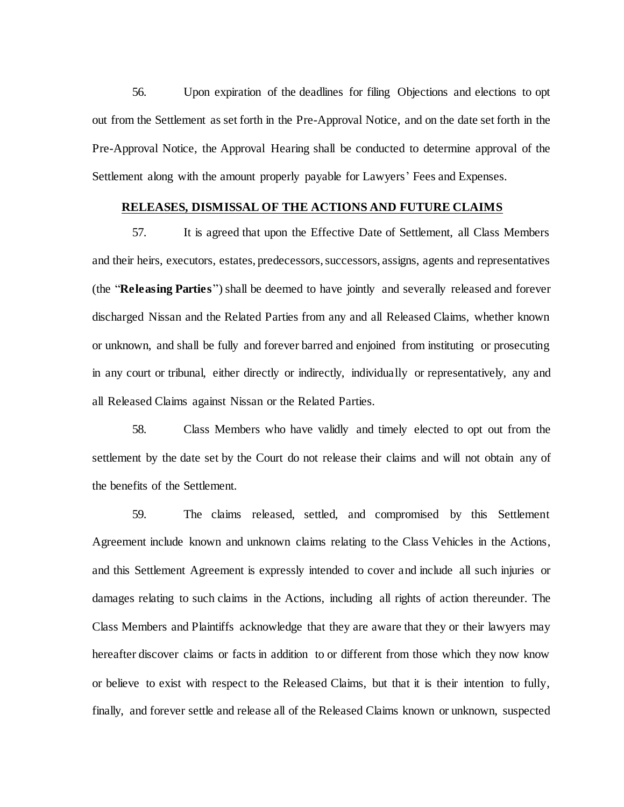56. Upon expiration of the deadlines for filing Objections and elections to opt out from the Settlement as set forth in the Pre-Approval Notice, and on the date set forth in the Pre-Approval Notice, the Approval Hearing shall be conducted to determine approval of the Settlement along with the amount properly payable for Lawyers' Fees and Expenses.

# **RELEASES, DISMISSAL OF THE ACTIONS AND FUTURE CLAIMS**

57. It is agreed that upon the Effective Date of Settlement, all Class Members and their heirs, executors, estates, predecessors, successors, assigns, agents and representatives (the "**Releasing Parties**") shall be deemed to have jointly and severally released and forever discharged Nissan and the Related Parties from any and all Released Claims, whether known or unknown, and shall be fully and forever barred and enjoined from instituting or prosecuting in any court or tribunal, either directly or indirectly, individually or representatively, any and all Released Claims against Nissan or the Related Parties.

58. Class Members who have validly and timely elected to opt out from the settlement by the date set by the Court do not release their claims and will not obtain any of the benefits of the Settlement.

59. The claims released, settled, and compromised by this Settlement Agreement include known and unknown claims relating to the Class Vehicles in the Actions, and this Settlement Agreement is expressly intended to cover and include all such injuries or damages relating to such claims in the Actions, including all rights of action thereunder. The Class Members and Plaintiffs acknowledge that they are aware that they or their lawyers may hereafter discover claims or facts in addition to or different from those which they now know or believe to exist with respect to the Released Claims, but that it is their intention to fully, finally, and forever settle and release all of the Released Claims known or unknown, suspected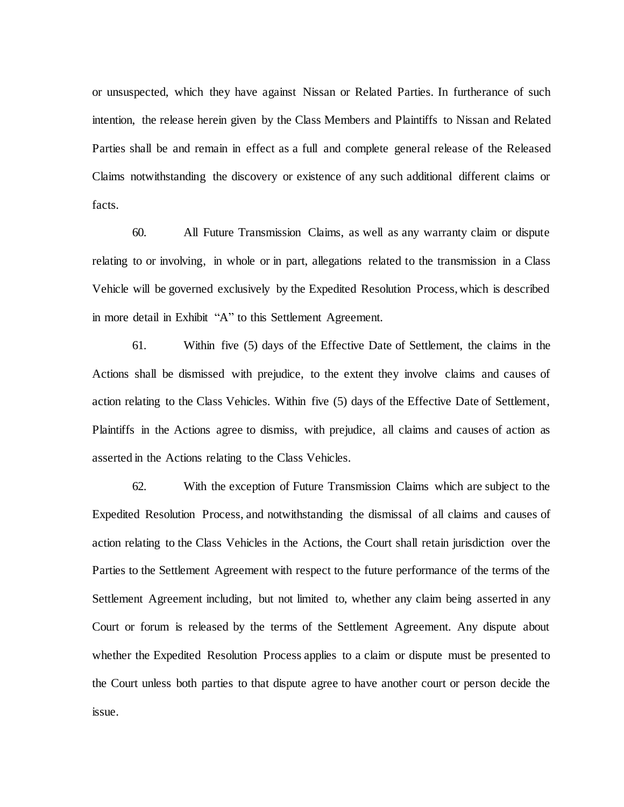or unsuspected, which they have against Nissan or Related Parties. In furtherance of such intention, the release herein given by the Class Members and Plaintiffs to Nissan and Related Parties shall be and remain in effect as a full and complete general release of the Released Claims notwithstanding the discovery or existence of any such additional different claims or facts.

60. All Future Transmission Claims, as well as any warranty claim or dispute relating to or involving, in whole or in part, allegations related to the transmission in a Class Vehicle will be governed exclusively by the Expedited Resolution Process, which is described in more detail in Exhibit "A" to this Settlement Agreement.

61. Within five (5) days of the Effective Date of Settlement, the claims in the Actions shall be dismissed with prejudice, to the extent they involve claims and causes of action relating to the Class Vehicles. Within five (5) days of the Effective Date of Settlement, Plaintiffs in the Actions agree to dismiss, with prejudice, all claims and causes of action as asserted in the Actions relating to the Class Vehicles.

<span id="page-30-0"></span>62. With the exception of Future Transmission Claims which are subject to the Expedited Resolution Process, and notwithstanding the dismissal of all claims and causes of action relating to the Class Vehicles in the Actions, the Court shall retain jurisdiction over the Parties to the Settlement Agreement with respect to the future performance of the terms of the Settlement Agreement including, but not limited to, whether any claim being asserted in any Court or forum is released by the terms of the Settlement Agreement. Any dispute about whether the Expedited Resolution Process applies to a claim or dispute must be presented to the Court unless both parties to that dispute agree to have another court or person decide the issue.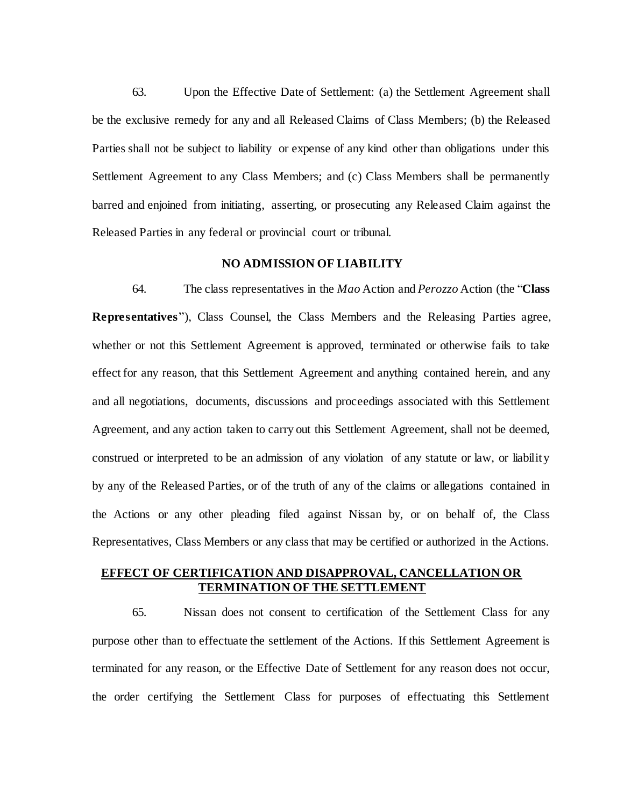63. Upon the Effective Date of Settlement: (a) the Settlement Agreement shall be the exclusive remedy for any and all Released Claims of Class Members; (b) the Released Parties shall not be subject to liability or expense of any kind other than obligations under this Settlement Agreement to any Class Members; and (c) Class Members shall be permanently barred and enjoined from initiating, asserting, or prosecuting any Released Claim against the Released Parties in any federal or provincial court or tribunal.

# **NO ADMISSION OF LIABILITY**

64. The class representatives in the *Mao* Action and *Perozzo* Action (the "**Class Representatives**"), Class Counsel, the Class Members and the Releasing Parties agree, whether or not this Settlement Agreement is approved, terminated or otherwise fails to take effect for any reason, that this Settlement Agreement and anything contained herein, and any and all negotiations, documents, discussions and proceedings associated with this Settlement Agreement, and any action taken to carry out this Settlement Agreement, shall not be deemed, construed or interpreted to be an admission of any violation of any statute or law, or liability by any of the Released Parties, or of the truth of any of the claims or allegations contained in the Actions or any other pleading filed against Nissan by, or on behalf of, the Class Representatives, Class Members or any class that may be certified or authorized in the Actions.

# **EFFECT OF CERTIFICATION AND DISAPPROVAL, CANCELLATION OR TERMINATION OF THE SETTLEMENT**

65. Nissan does not consent to certification of the Settlement Class for any purpose other than to effectuate the settlement of the Actions. If this Settlement Agreement is terminated for any reason, or the Effective Date of Settlement for any reason does not occur, the order certifying the Settlement Class for purposes of effectuating this Settlement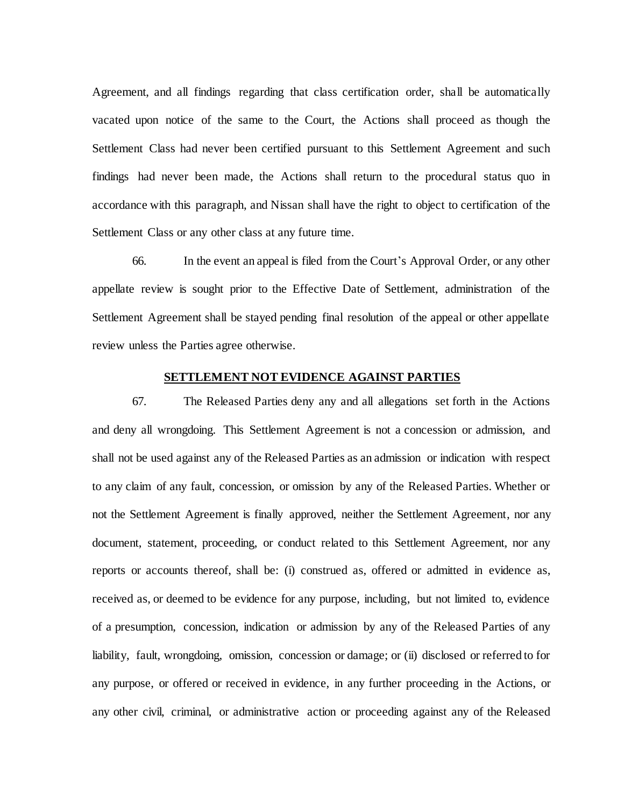Agreement, and all findings regarding that class certification order, shall be automatically vacated upon notice of the same to the Court, the Actions shall proceed as though the Settlement Class had never been certified pursuant to this Settlement Agreement and such findings had never been made, the Actions shall return to the procedural status quo in accordance with this paragraph, and Nissan shall have the right to object to certification of the Settlement Class or any other class at any future time.

66. In the event an appeal is filed from the Court's Approval Order, or any other appellate review is sought prior to the Effective Date of Settlement, administration of the Settlement Agreement shall be stayed pending final resolution of the appeal or other appellate review unless the Parties agree otherwise.

# **SETTLEMENT NOT EVIDENCE AGAINST PARTIES**

67. The Released Parties deny any and all allegations set forth in the Actions and deny all wrongdoing. This Settlement Agreement is not a concession or admission, and shall not be used against any of the Released Parties as an admission or indication with respect to any claim of any fault, concession, or omission by any of the Released Parties. Whether or not the Settlement Agreement is finally approved, neither the Settlement Agreement, nor any document, statement, proceeding, or conduct related to this Settlement Agreement, nor any reports or accounts thereof, shall be: (i) construed as, offered or admitted in evidence as, received as, or deemed to be evidence for any purpose, including, but not limited to, evidence of a presumption, concession, indication or admission by any of the Released Parties of any liability, fault, wrongdoing, omission, concession or damage; or (ii) disclosed or referred to for any purpose, or offered or received in evidence, in any further proceeding in the Actions, or any other civil, criminal, or administrative action or proceeding against any of the Released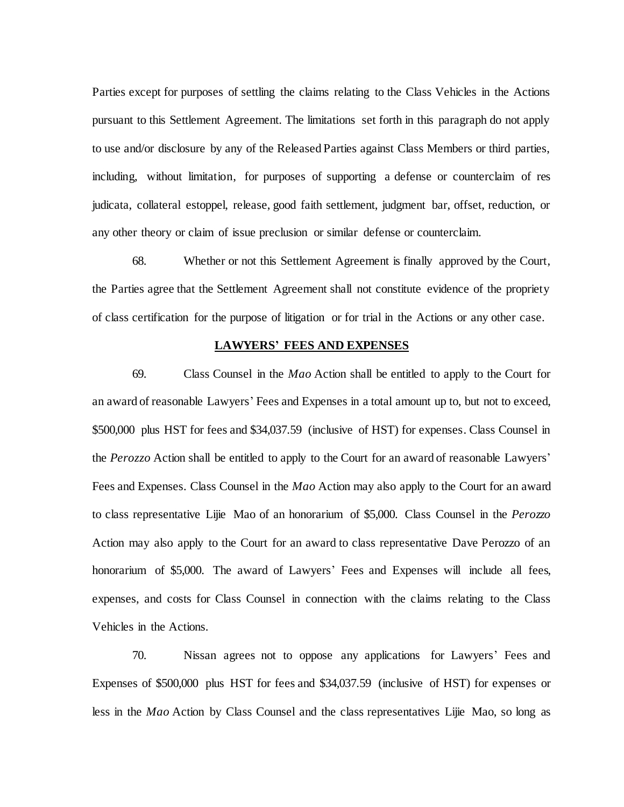Parties except for purposes of settling the claims relating to the Class Vehicles in the Actions pursuant to this Settlement Agreement. The limitations set forth in this paragraph do not apply to use and/or disclosure by any of the Released Parties against Class Members or third parties, including, without limitation, for purposes of supporting a defense or counterclaim of res judicata, collateral estoppel, release, good faith settlement, judgment bar, offset, reduction, or any other theory or claim of issue preclusion or similar defense or counterclaim.

68. Whether or not this Settlement Agreement is finally approved by the Court, the Parties agree that the Settlement Agreement shall not constitute evidence of the propriety of class certification for the purpose of litigation or for trial in the Actions or any other case.

#### **LAWYERS' FEES AND EXPENSES**

69. Class Counsel in the *Mao* Action shall be entitled to apply to the Court for an award of reasonable Lawyers' Fees and Expenses in a total amount up to, but not to exceed, \$500,000 plus HST for fees and \$34,037.59 (inclusive of HST) for expenses. Class Counsel in the *Perozzo* Action shall be entitled to apply to the Court for an award of reasonable Lawyers' Fees and Expenses. Class Counsel in the *Mao* Action may also apply to the Court for an award to class representative Lijie Mao of an honorarium of \$5,000. Class Counsel in the *Perozzo*  Action may also apply to the Court for an award to class representative Dave Perozzo of an honorarium of \$5,000. The award of Lawyers' Fees and Expenses will include all fees, expenses, and costs for Class Counsel in connection with the claims relating to the Class Vehicles in the Actions.

70. Nissan agrees not to oppose any applications for Lawyers' Fees and Expenses of \$500,000 plus HST for fees and \$34,037.59 (inclusive of HST) for expenses or less in the *Mao* Action by Class Counsel and the class representatives Lijie Mao, so long as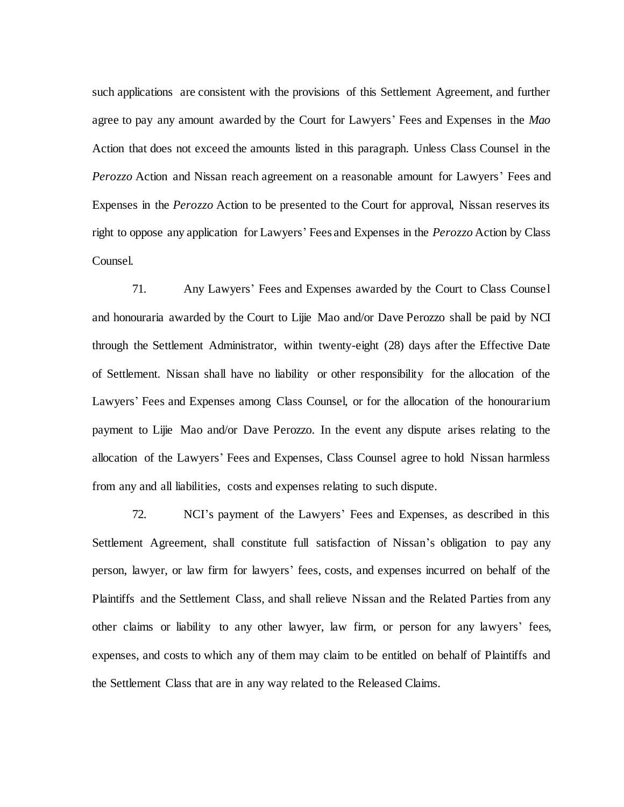such applications are consistent with the provisions of this Settlement Agreement, and further agree to pay any amount awarded by the Court for Lawyers' Fees and Expenses in the *Mao*  Action that does not exceed the amounts listed in this paragraph. Unless Class Counsel in the *Perozzo* Action and Nissan reach agreement on a reasonable amount for Lawyers' Fees and Expenses in the *Perozzo* Action to be presented to the Court for approval, Nissan reserves its right to oppose any application for Lawyers' Fees and Expenses in the *Perozzo* Action by Class Counsel.

71. Any Lawyers' Fees and Expenses awarded by the Court to Class Counsel and honouraria awarded by the Court to Lijie Mao and/or Dave Perozzo shall be paid by NCI through the Settlement Administrator, within twenty-eight (28) days after the Effective Date of Settlement. Nissan shall have no liability or other responsibility for the allocation of the Lawyers' Fees and Expenses among Class Counsel, or for the allocation of the honourarium payment to Lijie Mao and/or Dave Perozzo. In the event any dispute arises relating to the allocation of the Lawyers' Fees and Expenses, Class Counsel agree to hold Nissan harmless from any and all liabilities, costs and expenses relating to such dispute.

72. NCI's payment of the Lawyers' Fees and Expenses, as described in this Settlement Agreement, shall constitute full satisfaction of Nissan's obligation to pay any person, lawyer, or law firm for lawyers' fees, costs, and expenses incurred on behalf of the Plaintiffs and the Settlement Class, and shall relieve Nissan and the Related Parties from any other claims or liability to any other lawyer, law firm, or person for any lawyers' fees, expenses, and costs to which any of them may claim to be entitled on behalf of Plaintiffs and the Settlement Class that are in any way related to the Released Claims.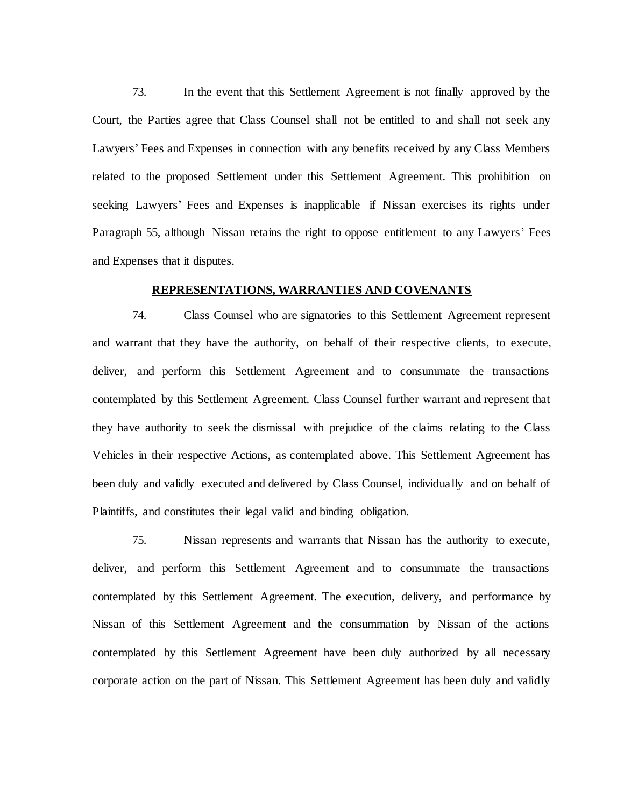73. In the event that this Settlement Agreement is not finally approved by the Court, the Parties agree that Class Counsel shall not be entitled to and shall not seek any Lawyers' Fees and Expenses in connection with any benefits received by any Class Members related to the proposed Settlement under this Settlement Agreement. This prohibition on seeking Lawyers' Fees and Expenses is inapplicable if Nissan exercises its rights under Paragraph [55,](#page-28-0) although Nissan retains the right to oppose entitlement to any Lawyers' Fees and Expenses that it disputes.

# **REPRESENTATIONS, WARRANTIES AND COVENANTS**

74. Class Counsel who are signatories to this Settlement Agreement represent and warrant that they have the authority, on behalf of their respective clients, to execute, deliver, and perform this Settlement Agreement and to consummate the transactions contemplated by this Settlement Agreement. Class Counsel further warrant and represent that they have authority to seek the dismissal with prejudice of the claims relating to the Class Vehicles in their respective Actions, as contemplated above. This Settlement Agreement has been duly and validly executed and delivered by Class Counsel, individually and on behalf of Plaintiffs, and constitutes their legal valid and binding obligation.

75. Nissan represents and warrants that Nissan has the authority to execute, deliver, and perform this Settlement Agreement and to consummate the transactions contemplated by this Settlement Agreement. The execution, delivery, and performance by Nissan of this Settlement Agreement and the consummation by Nissan of the actions contemplated by this Settlement Agreement have been duly authorized by all necessary corporate action on the part of Nissan. This Settlement Agreement has been duly and validly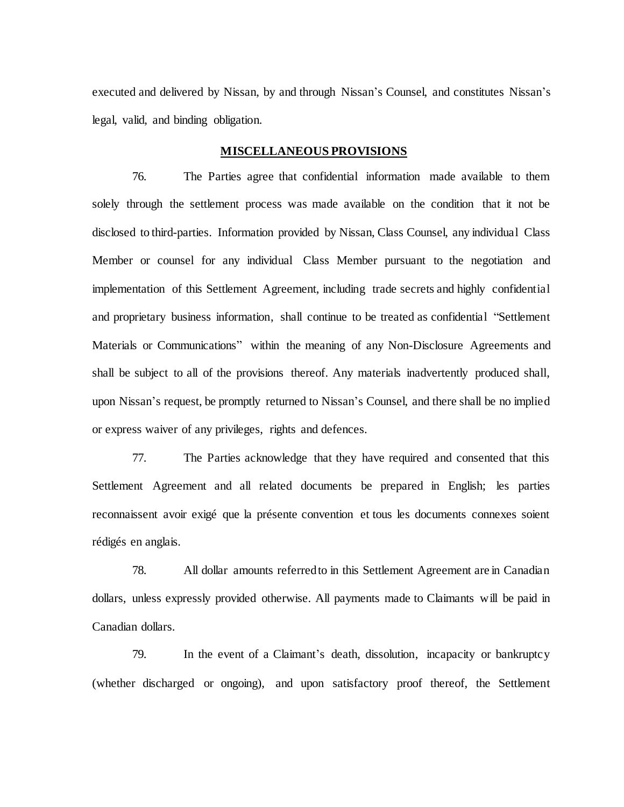executed and delivered by Nissan, by and through Nissan's Counsel, and constitutes Nissan's legal, valid, and binding obligation.

# **MISCELLANEOUS PROVISIONS**

76. The Parties agree that confidential information made available to them solely through the settlement process was made available on the condition that it not be disclosed to third-parties. Information provided by Nissan, Class Counsel, any individual Class Member or counsel for any individual Class Member pursuant to the negotiation and implementation of this Settlement Agreement, including trade secrets and highly confidential and proprietary business information, shall continue to be treated as confidential "Settlement Materials or Communications" within the meaning of any Non-Disclosure Agreements and shall be subject to all of the provisions thereof. Any materials inadvertently produced shall, upon Nissan's request, be promptly returned to Nissan's Counsel, and there shall be no implied or express waiver of any privileges, rights and defences.

77. The Parties acknowledge that they have required and consented that this Settlement Agreement and all related documents be prepared in English; les parties reconnaissent avoir exigé que la présente convention et tous les documents connexes soient rédigés en anglais.

78. All dollar amounts referred to in this Settlement Agreement are in Canadian dollars, unless expressly provided otherwise. All payments made to Claimants will be paid in Canadian dollars.

79. In the event of a Claimant's death, dissolution, incapacity or bankruptcy (whether discharged or ongoing), and upon satisfactory proof thereof, the Settlement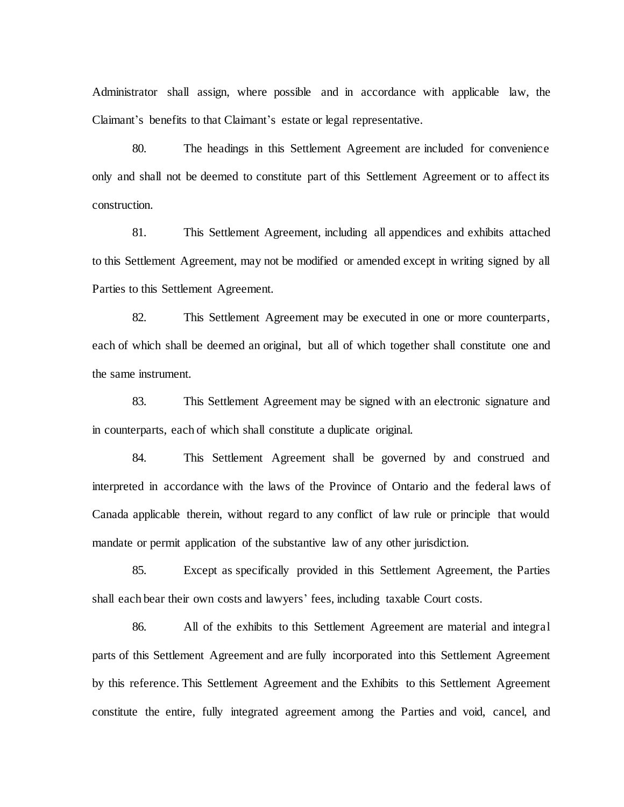Administrator shall assign, where possible and in accordance with applicable law, the Claimant's benefits to that Claimant's estate or legal representative.

80. The headings in this Settlement Agreement are included for convenience only and shall not be deemed to constitute part of this Settlement Agreement or to affect its construction.

81. This Settlement Agreement, including all appendices and exhibits attached to this Settlement Agreement, may not be modified or amended except in writing signed by all Parties to this Settlement Agreement.

82. This Settlement Agreement may be executed in one or more counterparts, each of which shall be deemed an original, but all of which together shall constitute one and the same instrument.

83. This Settlement Agreement may be signed with an electronic signature and in counterparts, each of which shall constitute a duplicate original.

84. This Settlement Agreement shall be governed by and construed and interpreted in accordance with the laws of the Province of Ontario and the federal laws of Canada applicable therein, without regard to any conflict of law rule or principle that would mandate or permit application of the substantive law of any other jurisdiction.

85. Except as specifically provided in this Settlement Agreement, the Parties shall each bear their own costs and lawyers' fees, including taxable Court costs.

86. All of the exhibits to this Settlement Agreement are material and integral parts of this Settlement Agreement and are fully incorporated into this Settlement Agreement by this reference. This Settlement Agreement and the Exhibits to this Settlement Agreement constitute the entire, fully integrated agreement among the Parties and void, cancel, and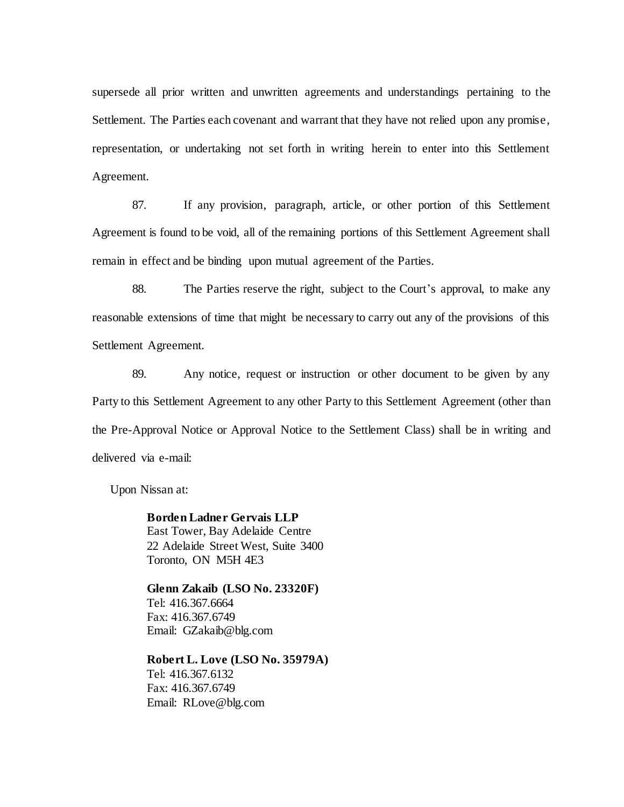supersede all prior written and unwritten agreements and understandings pertaining to the Settlement. The Parties each covenant and warrant that they have not relied upon any promise, representation, or undertaking not set forth in writing herein to enter into this Settlement Agreement.

87. If any provision, paragraph, article, or other portion of this Settlement Agreement is found to be void, all of the remaining portions of this Settlement Agreement shall remain in effect and be binding upon mutual agreement of the Parties.

88. The Parties reserve the right, subject to the Court's approval, to make any reasonable extensions of time that might be necessary to carry out any of the provisions of this Settlement Agreement.

89. Any notice, request or instruction or other document to be given by any Party to this Settlement Agreement to any other Party to this Settlement Agreement (other than the Pre-Approval Notice or Approval Notice to the Settlement Class) shall be in writing and delivered via e-mail:

Upon Nissan at:

**Borden Ladner Gervais LLP** East Tower, Bay Adelaide Centre 22 Adelaide Street West, Suite 3400 Toronto, ON M5H 4E3

**Glenn Zakaib (LSO No. 23320F)** Tel: 416.367.6664 Fax: 416.367.6749 Email: GZakaib@blg.com

**Robert L. Love (LSO No. 35979A)** Tel: 416.367.6132 Fax: 416.367.6749 Email: RLove@blg.com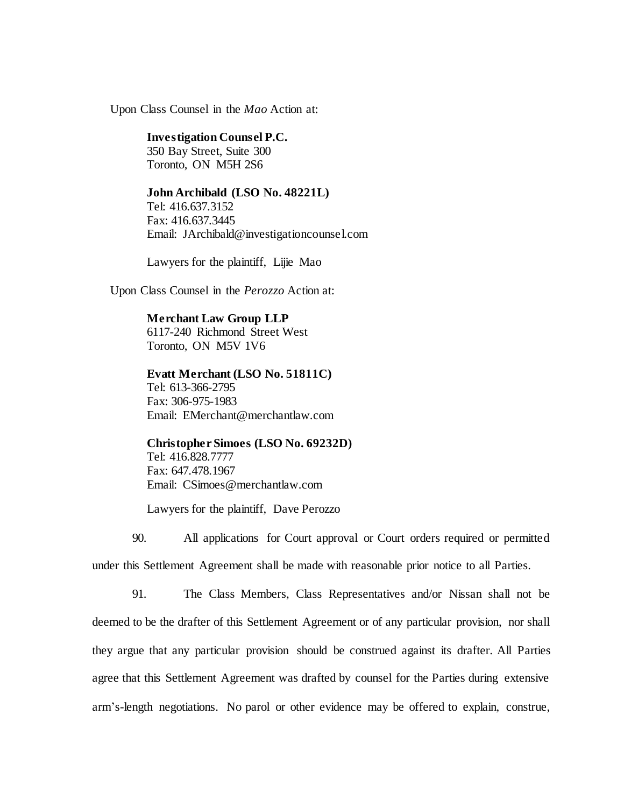Upon Class Counsel in the *Mao* Action at:

#### **Investigation Counsel P.C.**

350 Bay Street, Suite 300 Toronto, ON M5H 2S6

#### **John Archibald (LSO No. 48221L)**

Tel: 416.637.3152 Fax: 416.637.3445 Email: JArchibald@investigationcounsel.com

Lawyers for the plaintiff, Lijie Mao

Upon Class Counsel in the *Perozzo* Action at:

# **Merchant Law Group LLP** 6117-240 Richmond Street West Toronto, ON M5V 1V6

# **Evatt Merchant (LSO No. 51811C)** Tel: 613-366-2795 Fax: 306-975-1983 Email: EMerchant@merchantlaw.com

**Christopher Simoes (LSO No. 69232D)** Tel: 416.828.7777 Fax: 647.478.1967 Email: CSimoes@merchantlaw.com

Lawyers for the plaintiff, Dave Perozzo

90. All applications for Court approval or Court orders required or permitted under this Settlement Agreement shall be made with reasonable prior notice to all Parties.

91. The Class Members, Class Representatives and/or Nissan shall not be deemed to be the drafter of this Settlement Agreement or of any particular provision, nor shall they argue that any particular provision should be construed against its drafter. All Parties agree that this Settlement Agreement was drafted by counsel for the Parties during extensive arm's-length negotiations. No parol or other evidence may be offered to explain, construe,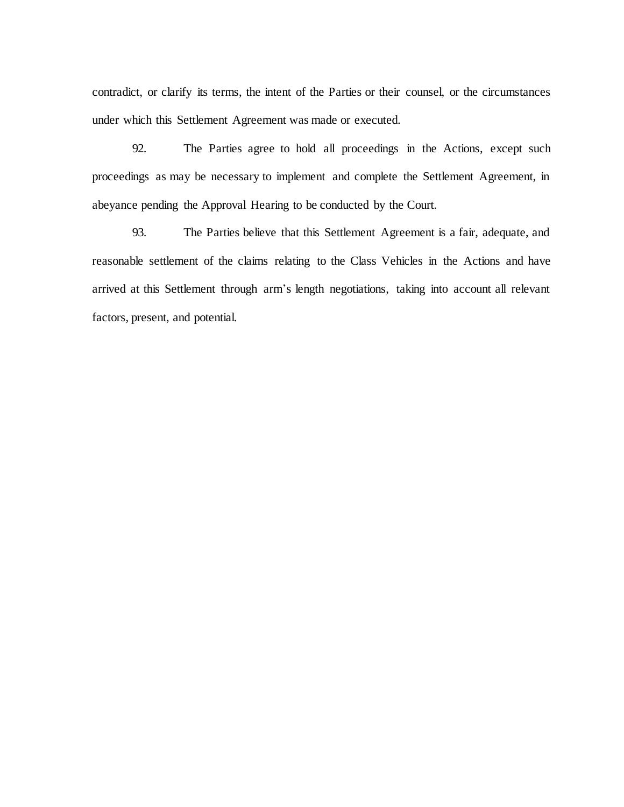contradict, or clarify its terms, the intent of the Parties or their counsel, or the circumstances under which this Settlement Agreement was made or executed.

92. The Parties agree to hold all proceedings in the Actions, except such proceedings as may be necessary to implement and complete the Settlement Agreement, in abeyance pending the Approval Hearing to be conducted by the Court.

93. The Parties believe that this Settlement Agreement is a fair, adequate, and reasonable settlement of the claims relating to the Class Vehicles in the Actions and have arrived at this Settlement through arm's length negotiations, taking into account all relevant factors, present, and potential.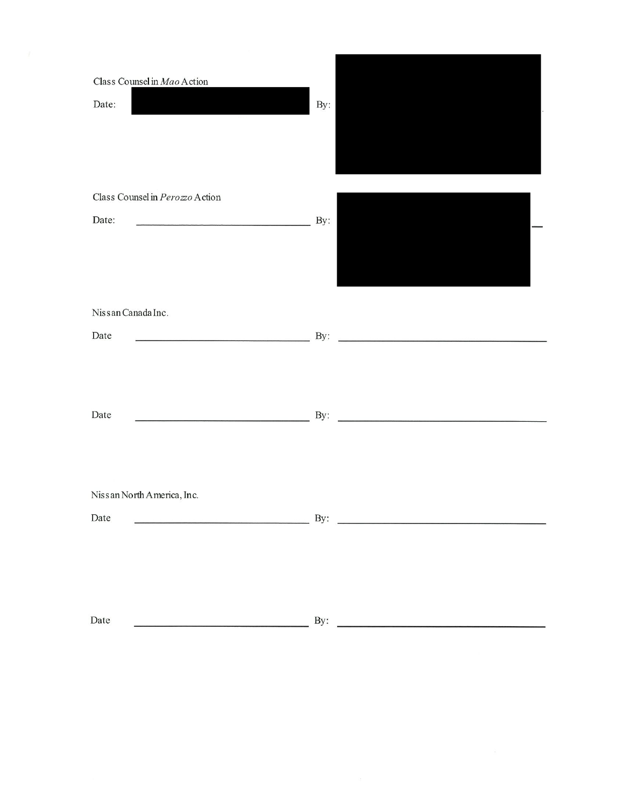| Class Counsel in Mao Action<br>Date:     | By:                                                                                                                          |
|------------------------------------------|------------------------------------------------------------------------------------------------------------------------------|
| Class Counsel in Perozzo Action<br>Date: | By:                                                                                                                          |
| Nissan Canada Inc.<br>Date               | <u>да ву: Дани в разготов в разготов в разготов в разготов в разготов в разготов в разготов в разготов в разготов</u>        |
| Date                                     | <u>да ву:</u> Ву: <u>да в собора в да в собора в собора в собора в собора в собора в собора в собора в собора в собора в</u> |
| Nissan North America, Inc.<br>Date       | $\overline{\phantom{a}}$ By:                                                                                                 |
| Date                                     | By: $\qquad \qquad$                                                                                                          |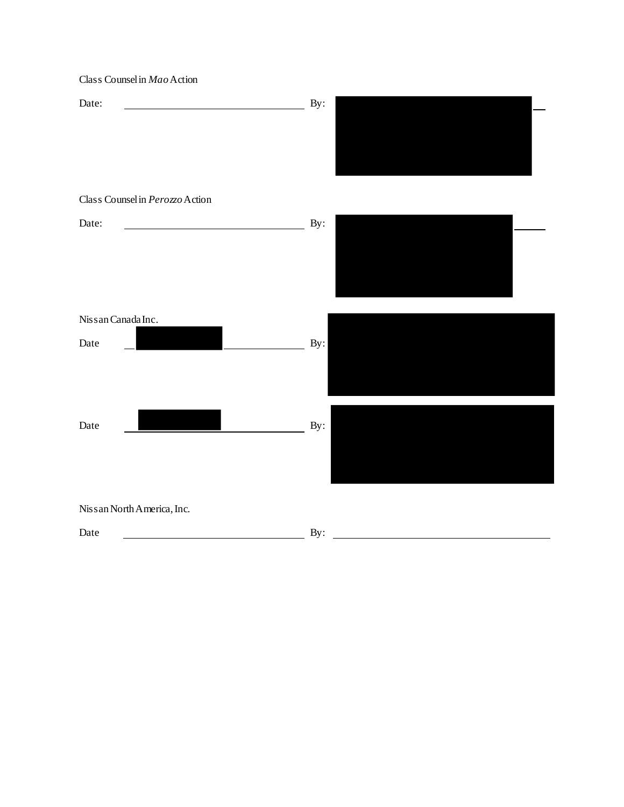Class Counsel in *Mao*Action Date: <u>Date:</u> By: Class Counsel in *Perozzo*Action Date: <u>Date:</u> By: Nissan Canada Inc. Date By: Date By: Nissan North America, Inc. Date By: By: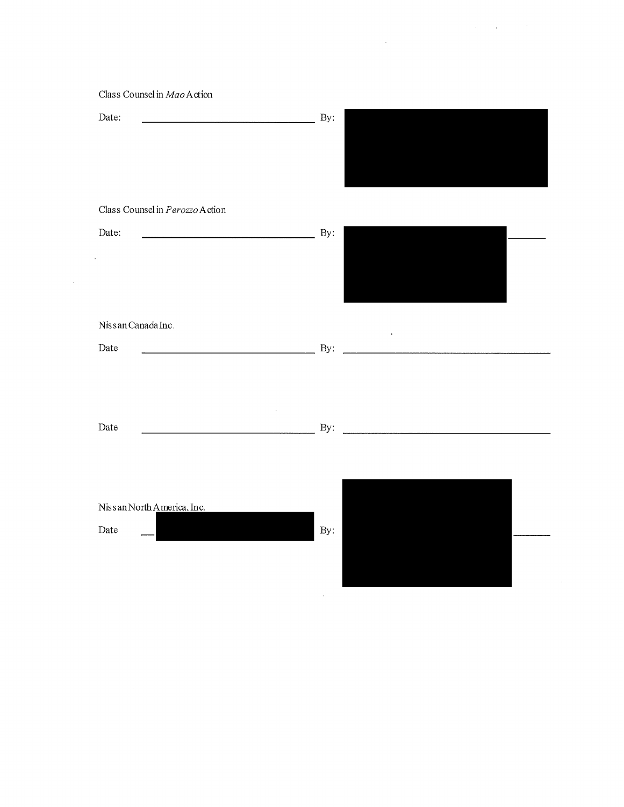|  |  | the company's program. |  |
|--|--|------------------------|--|
|  |  |                        |  |

| Class Counsel in Mao Action |  |
|-----------------------------|--|
|                             |  |

| Date:                                                                 | By:                        |  |
|-----------------------------------------------------------------------|----------------------------|--|
|                                                                       |                            |  |
|                                                                       |                            |  |
| Class Counsel in Perozzo Action                                       |                            |  |
| Date:                                                                 | By:                        |  |
|                                                                       |                            |  |
| $\bar{\phantom{a}}$                                                   |                            |  |
|                                                                       |                            |  |
| Nissan Canada Inc.                                                    |                            |  |
| Date<br><u> 1980 - Johann Barn, mars an t-Amerikaansk politiker (</u> | $\bar{\phantom{a}}$<br>By: |  |
|                                                                       |                            |  |
|                                                                       |                            |  |
|                                                                       |                            |  |
| Date                                                                  | By:                        |  |
|                                                                       |                            |  |
|                                                                       |                            |  |
| Nissan North America, Inc.                                            |                            |  |
| Date                                                                  | By:                        |  |
|                                                                       |                            |  |
|                                                                       |                            |  |

 $\mathcal{A}^{\mathcal{A}}$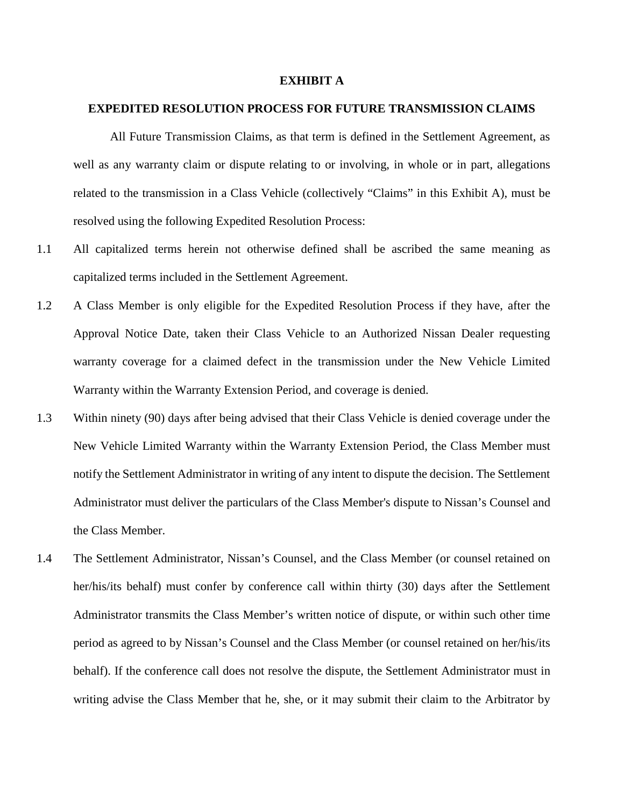#### **EXHIBIT A**

# **EXPEDITED RESOLUTION PROCESS FOR FUTURE TRANSMISSION CLAIMS**

All Future Transmission Claims, as that term is defined in the Settlement Agreement, as well as any warranty claim or dispute relating to or involving, in whole or in part, allegations related to the transmission in a Class Vehicle (collectively "Claims" in this Exhibit A), must be resolved using the following Expedited Resolution Process:

- 1.1 All capitalized terms herein not otherwise defined shall be ascribed the same meaning as capitalized terms included in the Settlement Agreement.
- 1.2 A Class Member is only eligible for the Expedited Resolution Process if they have, after the Approval Notice Date, taken their Class Vehicle to an Authorized Nissan Dealer requesting warranty coverage for a claimed defect in the transmission under the New Vehicle Limited Warranty within the Warranty Extension Period, and coverage is denied.
- 1.3 Within ninety (90) days after being advised that their Class Vehicle is denied coverage under the New Vehicle Limited Warranty within the Warranty Extension Period, the Class Member must notify the Settlement Administrator in writing of any intent to dispute the decision. The Settlement Administrator must deliver the particulars of the Class Member's dispute to Nissan's Counsel and the Class Member.
- 1.4 The Settlement Administrator, Nissan's Counsel, and the Class Member (or counsel retained on her/his/its behalf) must confer by conference call within thirty (30) days after the Settlement Administrator transmits the Class Member's written notice of dispute, or within such other time period as agreed to by Nissan's Counsel and the Class Member (or counsel retained on her/his/its behalf). If the conference call does not resolve the dispute, the Settlement Administrator must in writing advise the Class Member that he, she, or it may submit their claim to the Arbitrator by